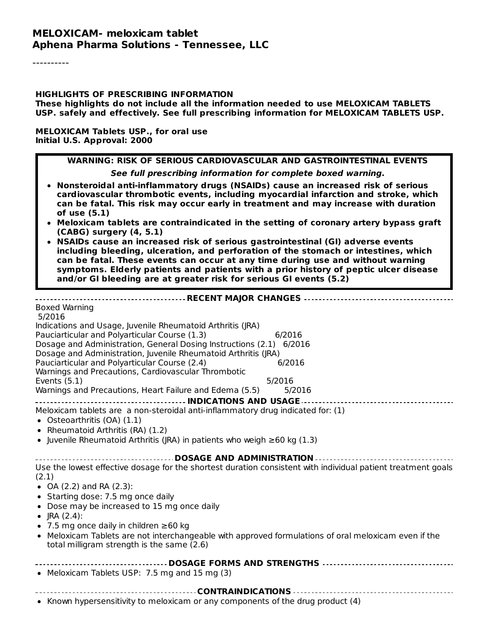#### **MELOXICAM- meloxicam tablet Aphena Pharma Solutions - Tennessee, LLC**

**HIGHLIGHTS OF PRESCRIBING INFORMATION**

----------

#### **USP. safely and effectively. See full prescribing information for MELOXICAM TABLETS USP. MELOXICAM Tablets USP., for oral use Initial U.S. Approval: 2000 WARNING: RISK OF SERIOUS CARDIOVASCULAR AND GASTROINTESTINAL EVENTS See full prescribing information for complete boxed warning. Nonsteroidal anti-inflammatory drugs (NSAIDs) cause an increased risk of serious cardiovascular thrombotic events, including myocardial infarction and stroke, which can be fatal. This risk may occur early in treatment and may increase with duration of use (5.1) Meloxicam tablets are contraindicated in the setting of coronary artery bypass graft (CABG) surgery (4, 5.1) NSAIDs cause an increased risk of serious gastrointestinal (GI) adverse events including bleeding, ulceration, and perforation of the stomach or intestines, which can be fatal. These events can occur at any time during use and without warning symptoms. Elderly patients and patients with a prior history of peptic ulcer disease and/or GI bleeding are at greater risk for serious GI events (5.2) RECENT MAJOR CHANGES** Boxed Warning 5/2016 Indications and Usage, Juvenile Rheumatoid Arthritis (JRA) Pauciarticular and Polyarticular Course (1.3) 6/2016 Dosage and Administration, General Dosing Instructions (2.1) 6/2016 Dosage and Administration, Juvenile Rheumatoid Arthritis (JRA) Pauciarticular and Polyarticular Course (2.4) 6/2016 Warnings and Precautions, Cardiovascular Thrombotic Events (5.1) 5/2016 Warnings and Precautions, Heart Failure and Edema (5.5) 5/2016 **INDICATIONS AND USAGE** Meloxicam tablets are a non-steroidal anti-inflammatory drug indicated for: (1) Osteoarthritis (OA) (1.1) • Rheumatoid Arthritis (RA) (1.2)  $\bullet$  Juvenile Rheumatoid Arthritis (JRA) in patients who weigh ≥60 kg (1.3) **DOSAGE AND ADMINISTRATION** Use the lowest effective dosage for the shortest duration consistent with individual patient treatment goals (2.1)  $\bullet$  OA (2.2) and RA (2.3): • Starting dose: 7.5 mg once daily Dose may be increased to 15 mg once daily •  $|RA (2.4):$ 7.5 mg once daily in children ≥60 kg Meloxicam Tablets are not interchangeable with approved formulations of oral meloxicam even if the total milligram strength is the same (2.6) **DOSAGE FORMS AND STRENGTHS** • Meloxicam Tablets USP: 7.5 mg and 15 mg (3) **CONTRAINDICATIONS**  $\bullet$  Known hypersensitivity to meloxicam or any components of the drug product (4)

**These highlights do not include all the information needed to use MELOXICAM TABLETS**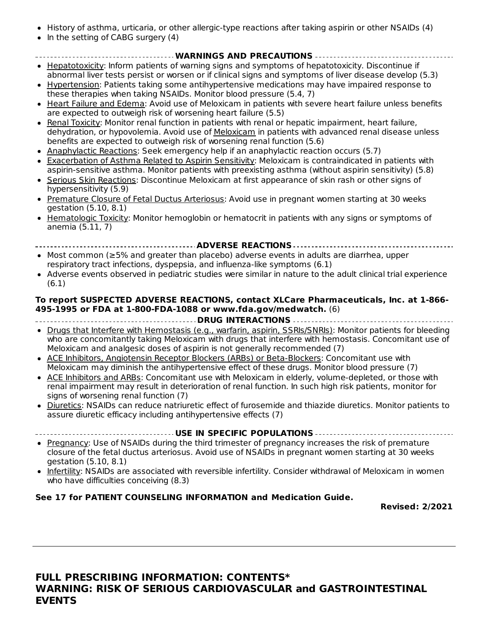- History of asthma, urticaria, or other allergic-type reactions after taking aspirin or other NSAIDs (4)
- $\bullet$  In the setting of CABG surgery (4)
- **WARNINGS AND PRECAUTIONS**
- Hepatotoxicity: Inform patients of warning signs and symptoms of hepatotoxicity. Discontinue if abnormal liver tests persist or worsen or if clinical signs and symptoms of liver disease develop (5.3)
- Hypertension: Patients taking some antihypertensive medications may have impaired response to  $\bullet$ these therapies when taking NSAIDs. Monitor blood pressure (5.4, 7)
- Heart Failure and Edema: Avoid use of Meloxicam in patients with severe heart failure unless benefits are expected to outweigh risk of worsening heart failure (5.5)
- Renal Toxicity: Monitor renal function in patients with renal or hepatic impairment, heart failure, dehydration, or hypovolemia. Avoid use of Meloxicam in patients with advanced renal disease unless benefits are expected to outweigh risk of worsening renal function (5.6)
- Anaphylactic Reactions: Seek emergency help if an anaphylactic reaction occurs (5.7)
- Exacerbation of Asthma Related to Aspirin Sensitivity: Meloxicam is contraindicated in patients with aspirin-sensitive asthma. Monitor patients with preexisting asthma (without aspirin sensitivity) (5.8)
- Serious Skin Reactions: Discontinue Meloxicam at first appearance of skin rash or other signs of hypersensitivity (5.9)
- Premature Closure of Fetal Ductus Arteriosus: Avoid use in pregnant women starting at 30 weeks gestation (5.10, 8.1)
- Hematologic Toxicity: Monitor hemoglobin or hematocrit in patients with any signs or symptoms of anemia (5.11, 7)
	- **ADVERSE REACTIONS**
- Most common (≥5% and greater than placebo) adverse events in adults are diarrhea, upper respiratory tract infections, dyspepsia, and influenza-like symptoms (6.1)
- Adverse events observed in pediatric studies were similar in nature to the adult clinical trial experience (6.1)

#### **To report SUSPECTED ADVERSE REACTIONS, contact XLCare Pharmaceuticals, Inc. at 1-866- 495-1995 or FDA at 1-800-FDA-1088 or www.fda.gov/medwatch.** (6)

- **DRUG INTERACTIONS**
- Drugs that Interfere with Hemostasis (e.g., warfarin, aspirin, SSRIs/SNRIs): Monitor patients for bleeding who are concomitantly taking Meloxicam with drugs that interfere with hemostasis. Concomitant use of Meloxicam and analgesic doses of aspirin is not generally recommended (7)
- ACE Inhibitors, Angiotensin Receptor Blockers (ARBs) or Beta-Blockers: Concomitant use with Meloxicam may diminish the antihypertensive effect of these drugs. Monitor blood pressure (7)
- ACE Inhibitors and ARBs: Concomitant use with Meloxicam in elderly, volume-depleted, or those with renal impairment may result in deterioration of renal function. In such high risk patients, monitor for signs of worsening renal function (7)
- Diuretics: NSAIDs can reduce natriuretic effect of furosemide and thiazide diuretics. Monitor patients to assure diuretic efficacy including antihypertensive effects (7)
- **USE IN SPECIFIC POPULATIONS**
- Pregnancy: Use of NSAIDs during the third trimester of pregnancy increases the risk of premature closure of the fetal ductus arteriosus. Avoid use of NSAIDs in pregnant women starting at 30 weeks gestation (5.10, 8.1)
- Infertility: NSAIDs are associated with reversible infertility. Consider withdrawal of Meloxicam in women who have difficulties conceiving (8.3)

#### **See 17 for PATIENT COUNSELING INFORMATION and Medication Guide.**

**Revised: 2/2021**

#### **FULL PRESCRIBING INFORMATION: CONTENTS\* WARNING: RISK OF SERIOUS CARDIOVASCULAR and GASTROINTESTINAL EVENTS**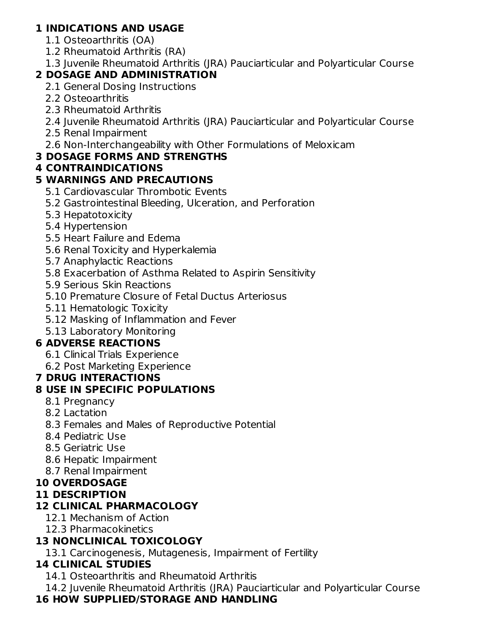## **1 INDICATIONS AND USAGE**

- 1.1 Osteoarthritis (OA)
- 1.2 Rheumatoid Arthritis (RA)
- 1.3 Juvenile Rheumatoid Arthritis (JRA) Pauciarticular and Polyarticular Course

## **2 DOSAGE AND ADMINISTRATION**

- 2.1 General Dosing Instructions
- 2.2 Osteoarthritis
- 2.3 Rheumatoid Arthritis
- 2.4 Juvenile Rheumatoid Arthritis (JRA) Pauciarticular and Polyarticular Course
- 2.5 Renal Impairment
- 2.6 Non-Interchangeability with Other Formulations of Meloxicam

## **3 DOSAGE FORMS AND STRENGTHS**

## **4 CONTRAINDICATIONS**

## **5 WARNINGS AND PRECAUTIONS**

- 5.1 Cardiovascular Thrombotic Events
- 5.2 Gastrointestinal Bleeding, Ulceration, and Perforation
- 5.3 Hepatotoxicity
- 5.4 Hypertension
- 5.5 Heart Failure and Edema
- 5.6 Renal Toxicity and Hyperkalemia
- 5.7 Anaphylactic Reactions
- 5.8 Exacerbation of Asthma Related to Aspirin Sensitivity
- 5.9 Serious Skin Reactions
- 5.10 Premature Closure of Fetal Ductus Arteriosus
- 5.11 Hematologic Toxicity
- 5.12 Masking of Inflammation and Fever
- 5.13 Laboratory Monitoring

# **6 ADVERSE REACTIONS**

- 6.1 Clinical Trials Experience
- 6.2 Post Marketing Experience

## **7 DRUG INTERACTIONS**

## **8 USE IN SPECIFIC POPULATIONS**

- 8.1 Pregnancy
- 8.2 Lactation
- 8.3 Females and Males of Reproductive Potential
- 8.4 Pediatric Use
- 8.5 Geriatric Use
- 8.6 Hepatic Impairment
- 8.7 Renal Impairment

### **10 OVERDOSAGE**

## **11 DESCRIPTION**

# **12 CLINICAL PHARMACOLOGY**

- 12.1 Mechanism of Action
- 12.3 Pharmacokinetics

# **13 NONCLINICAL TOXICOLOGY**

13.1 Carcinogenesis, Mutagenesis, Impairment of Fertility

## **14 CLINICAL STUDIES**

14.1 Osteoarthritis and Rheumatoid Arthritis

14.2 Juvenile Rheumatoid Arthritis (JRA) Pauciarticular and Polyarticular Course

## **16 HOW SUPPLIED/STORAGE AND HANDLING**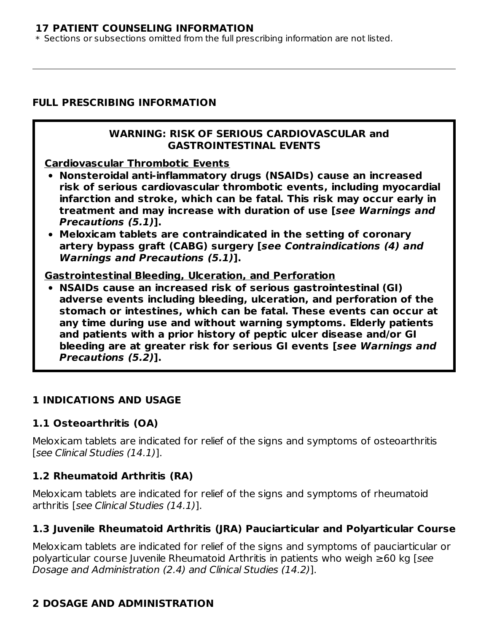#### **17 PATIENT COUNSELING INFORMATION**

 $\ast$  Sections or subsections omitted from the full prescribing information are not listed.

#### **FULL PRESCRIBING INFORMATION**

#### **WARNING: RISK OF SERIOUS CARDIOVASCULAR and GASTROINTESTINAL EVENTS**

**Cardiovascular Thrombotic Events**

- **Nonsteroidal anti-inflammatory drugs (NSAIDs) cause an increased risk of serious cardiovascular thrombotic events, including myocardial infarction and stroke, which can be fatal. This risk may occur early in treatment and may increase with duration of use [see Warnings and Precautions (5.1)].**
- **Meloxicam tablets are contraindicated in the setting of coronary artery bypass graft (CABG) surgery [see Contraindications (4) and Warnings and Precautions (5.1)].**

**Gastrointestinal Bleeding, Ulceration, and Perforation**

**NSAIDs cause an increased risk of serious gastrointestinal (GI) adverse events including bleeding, ulceration, and perforation of the stomach or intestines, which can be fatal. These events can occur at any time during use and without warning symptoms. Elderly patients and patients with a prior history of peptic ulcer disease and/or GI bleeding are at greater risk for serious GI events [see Warnings and Precautions (5.2)].**

#### **1 INDICATIONS AND USAGE**

#### **1.1 Osteoarthritis (OA)**

Meloxicam tablets are indicated for relief of the signs and symptoms of osteoarthritis [see Clinical Studies (14.1)].

#### **1.2 Rheumatoid Arthritis (RA)**

Meloxicam tablets are indicated for relief of the signs and symptoms of rheumatoid arthritis [see Clinical Studies (14.1)].

#### **1.3 Juvenile Rheumatoid Arthritis (JRA) Pauciarticular and Polyarticular Course**

Meloxicam tablets are indicated for relief of the signs and symptoms of pauciarticular or polyarticular course Juvenile Rheumatoid Arthritis in patients who weigh ≥60 kg [see Dosage and Administration (2.4) and Clinical Studies (14.2)].

## **2 DOSAGE AND ADMINISTRATION**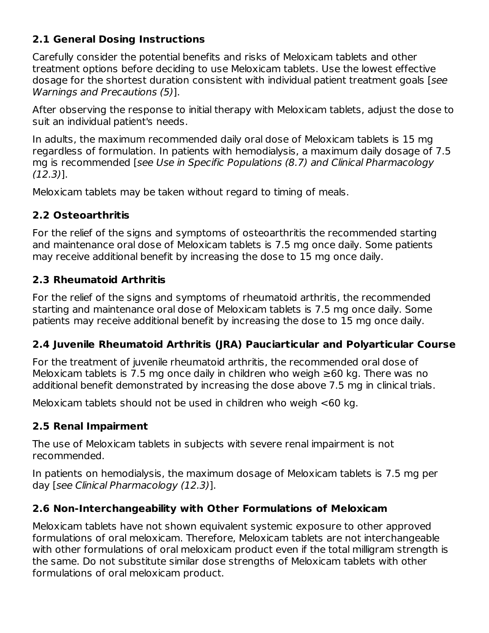## **2.1 General Dosing Instructions**

Carefully consider the potential benefits and risks of Meloxicam tablets and other treatment options before deciding to use Meloxicam tablets. Use the lowest effective dosage for the shortest duration consistent with individual patient treatment goals [see Warnings and Precautions (5)].

After observing the response to initial therapy with Meloxicam tablets, adjust the dose to suit an individual patient's needs.

In adults, the maximum recommended daily oral dose of Meloxicam tablets is 15 mg regardless of formulation. In patients with hemodialysis, a maximum daily dosage of 7.5 mg is recommended [see Use in Specific Populations (8.7) and Clinical Pharmacology (12.3)].

Meloxicam tablets may be taken without regard to timing of meals.

### **2.2 Osteoarthritis**

For the relief of the signs and symptoms of osteoarthritis the recommended starting and maintenance oral dose of Meloxicam tablets is 7.5 mg once daily. Some patients may receive additional benefit by increasing the dose to 15 mg once daily.

### **2.3 Rheumatoid Arthritis**

For the relief of the signs and symptoms of rheumatoid arthritis, the recommended starting and maintenance oral dose of Meloxicam tablets is 7.5 mg once daily. Some patients may receive additional benefit by increasing the dose to 15 mg once daily.

### **2.4 Juvenile Rheumatoid Arthritis (JRA) Pauciarticular and Polyarticular Course**

For the treatment of juvenile rheumatoid arthritis, the recommended oral dose of Meloxicam tablets is 7.5 mg once daily in children who weigh ≥60 kg. There was no additional benefit demonstrated by increasing the dose above 7.5 mg in clinical trials.

Meloxicam tablets should not be used in children who weigh <60 kg.

#### **2.5 Renal Impairment**

The use of Meloxicam tablets in subjects with severe renal impairment is not recommended.

In patients on hemodialysis, the maximum dosage of Meloxicam tablets is 7.5 mg per day [see Clinical Pharmacology (12.3)].

#### **2.6 Non-Interchangeability with Other Formulations of Meloxicam**

Meloxicam tablets have not shown equivalent systemic exposure to other approved formulations of oral meloxicam. Therefore, Meloxicam tablets are not interchangeable with other formulations of oral meloxicam product even if the total milligram strength is the same. Do not substitute similar dose strengths of Meloxicam tablets with other formulations of oral meloxicam product.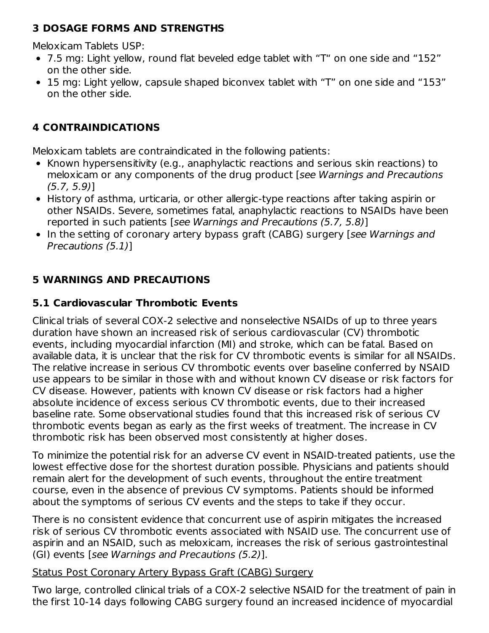## **3 DOSAGE FORMS AND STRENGTHS**

Meloxicam Tablets USP:

- 7.5 mg: Light yellow, round flat beveled edge tablet with "T" on one side and "152" on the other side.
- 15 mg: Light yellow, capsule shaped biconvex tablet with "T" on one side and "153" on the other side.

## **4 CONTRAINDICATIONS**

Meloxicam tablets are contraindicated in the following patients:

- Known hypersensitivity (e.g., anaphylactic reactions and serious skin reactions) to meloxicam or any components of the drug product [see Warnings and Precautions (5.7, 5.9)]
- History of asthma, urticaria, or other allergic-type reactions after taking aspirin or other NSAIDs. Severe, sometimes fatal, anaphylactic reactions to NSAIDs have been reported in such patients [see Warnings and Precautions (5.7, 5.8)]
- In the setting of coronary artery bypass graft (CABG) surgery [see Warnings and Precautions (5.1)]

## **5 WARNINGS AND PRECAUTIONS**

### **5.1 Cardiovascular Thrombotic Events**

Clinical trials of several COX-2 selective and nonselective NSAIDs of up to three years duration have shown an increased risk of serious cardiovascular (CV) thrombotic events, including myocardial infarction (MI) and stroke, which can be fatal. Based on available data, it is unclear that the risk for CV thrombotic events is similar for all NSAIDs. The relative increase in serious CV thrombotic events over baseline conferred by NSAID use appears to be similar in those with and without known CV disease or risk factors for CV disease. However, patients with known CV disease or risk factors had a higher absolute incidence of excess serious CV thrombotic events, due to their increased baseline rate. Some observational studies found that this increased risk of serious CV thrombotic events began as early as the first weeks of treatment. The increase in CV thrombotic risk has been observed most consistently at higher doses.

To minimize the potential risk for an adverse CV event in NSAID-treated patients, use the lowest effective dose for the shortest duration possible. Physicians and patients should remain alert for the development of such events, throughout the entire treatment course, even in the absence of previous CV symptoms. Patients should be informed about the symptoms of serious CV events and the steps to take if they occur.

There is no consistent evidence that concurrent use of aspirin mitigates the increased risk of serious CV thrombotic events associated with NSAID use. The concurrent use of aspirin and an NSAID, such as meloxicam, increases the risk of serious gastrointestinal (GI) events [see Warnings and Precautions (5.2)].

#### Status Post Coronary Artery Bypass Graft (CABG) Surgery

Two large, controlled clinical trials of a COX-2 selective NSAID for the treatment of pain in the first 10-14 days following CABG surgery found an increased incidence of myocardial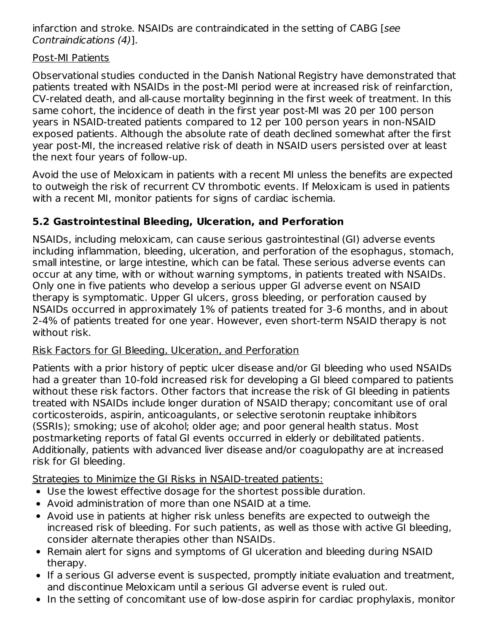infarction and stroke. NSAIDs are contraindicated in the setting of CABG [see Contraindications (4)].

### Post-MI Patients

Observational studies conducted in the Danish National Registry have demonstrated that patients treated with NSAIDs in the post-MI period were at increased risk of reinfarction, CV-related death, and all-cause mortality beginning in the first week of treatment. In this same cohort, the incidence of death in the first year post-MI was 20 per 100 person years in NSAID-treated patients compared to 12 per 100 person years in non-NSAID exposed patients. Although the absolute rate of death declined somewhat after the first year post-MI, the increased relative risk of death in NSAID users persisted over at least the next four years of follow-up.

Avoid the use of Meloxicam in patients with a recent MI unless the benefits are expected to outweigh the risk of recurrent CV thrombotic events. If Meloxicam is used in patients with a recent MI, monitor patients for signs of cardiac ischemia.

## **5.2 Gastrointestinal Bleeding, Ulceration, and Perforation**

NSAIDs, including meloxicam, can cause serious gastrointestinal (GI) adverse events including inflammation, bleeding, ulceration, and perforation of the esophagus, stomach, small intestine, or large intestine, which can be fatal. These serious adverse events can occur at any time, with or without warning symptoms, in patients treated with NSAIDs. Only one in five patients who develop a serious upper GI adverse event on NSAID therapy is symptomatic. Upper GI ulcers, gross bleeding, or perforation caused by NSAIDs occurred in approximately 1% of patients treated for 3-6 months, and in about 2-4% of patients treated for one year. However, even short-term NSAID therapy is not without risk.

### Risk Factors for GI Bleeding, Ulceration, and Perforation

Patients with a prior history of peptic ulcer disease and/or GI bleeding who used NSAIDs had a greater than 10-fold increased risk for developing a GI bleed compared to patients without these risk factors. Other factors that increase the risk of GI bleeding in patients treated with NSAIDs include longer duration of NSAID therapy; concomitant use of oral corticosteroids, aspirin, anticoagulants, or selective serotonin reuptake inhibitors (SSRIs); smoking; use of alcohol; older age; and poor general health status. Most postmarketing reports of fatal GI events occurred in elderly or debilitated patients. Additionally, patients with advanced liver disease and/or coagulopathy are at increased risk for GI bleeding.

Strategies to Minimize the GI Risks in NSAID-treated patients:

- Use the lowest effective dosage for the shortest possible duration.
- Avoid administration of more than one NSAID at a time.
- Avoid use in patients at higher risk unless benefits are expected to outweigh the increased risk of bleeding. For such patients, as well as those with active GI bleeding, consider alternate therapies other than NSAIDs.
- Remain alert for signs and symptoms of GI ulceration and bleeding during NSAID therapy.
- If a serious GI adverse event is suspected, promptly initiate evaluation and treatment, and discontinue Meloxicam until a serious GI adverse event is ruled out.
- In the setting of concomitant use of low-dose aspirin for cardiac prophylaxis, monitor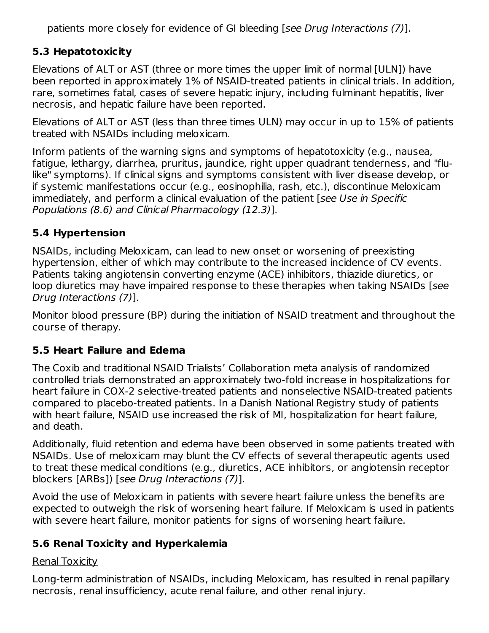patients more closely for evidence of GI bleeding [see Drug Interactions (7)].

## **5.3 Hepatotoxicity**

Elevations of ALT or AST (three or more times the upper limit of normal [ULN]) have been reported in approximately 1% of NSAID-treated patients in clinical trials. In addition, rare, sometimes fatal, cases of severe hepatic injury, including fulminant hepatitis, liver necrosis, and hepatic failure have been reported.

Elevations of ALT or AST (less than three times ULN) may occur in up to 15% of patients treated with NSAIDs including meloxicam.

Inform patients of the warning signs and symptoms of hepatotoxicity (e.g., nausea, fatigue, lethargy, diarrhea, pruritus, jaundice, right upper quadrant tenderness, and "flulike" symptoms). If clinical signs and symptoms consistent with liver disease develop, or if systemic manifestations occur (e.g., eosinophilia, rash, etc.), discontinue Meloxicam immediately, and perform a clinical evaluation of the patient [see Use in Specific Populations (8.6) and Clinical Pharmacology (12.3)].

## **5.4 Hypertension**

NSAIDs, including Meloxicam, can lead to new onset or worsening of preexisting hypertension, either of which may contribute to the increased incidence of CV events. Patients taking angiotensin converting enzyme (ACE) inhibitors, thiazide diuretics, or loop diuretics may have impaired response to these therapies when taking NSAIDs [see Drug Interactions (7)].

Monitor blood pressure (BP) during the initiation of NSAID treatment and throughout the course of therapy.

## **5.5 Heart Failure and Edema**

The Coxib and traditional NSAID Trialists' Collaboration meta analysis of randomized controlled trials demonstrated an approximately two-fold increase in hospitalizations for heart failure in COX-2 selective-treated patients and nonselective NSAID-treated patients compared to placebo-treated patients. In a Danish National Registry study of patients with heart failure, NSAID use increased the risk of MI, hospitalization for heart failure, and death.

Additionally, fluid retention and edema have been observed in some patients treated with NSAIDs. Use of meloxicam may blunt the CV effects of several therapeutic agents used to treat these medical conditions (e.g., diuretics, ACE inhibitors, or angiotensin receptor blockers [ARBs]) [see Drug Interactions (7)].

Avoid the use of Meloxicam in patients with severe heart failure unless the benefits are expected to outweigh the risk of worsening heart failure. If Meloxicam is used in patients with severe heart failure, monitor patients for signs of worsening heart failure.

## **5.6 Renal Toxicity and Hyperkalemia**

### Renal Toxicity

Long-term administration of NSAIDs, including Meloxicam, has resulted in renal papillary necrosis, renal insufficiency, acute renal failure, and other renal injury.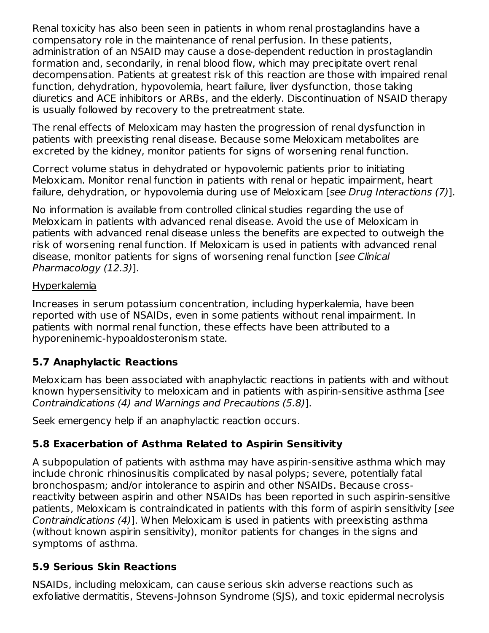Renal toxicity has also been seen in patients in whom renal prostaglandins have a compensatory role in the maintenance of renal perfusion. In these patients, administration of an NSAID may cause a dose-dependent reduction in prostaglandin formation and, secondarily, in renal blood flow, which may precipitate overt renal decompensation. Patients at greatest risk of this reaction are those with impaired renal function, dehydration, hypovolemia, heart failure, liver dysfunction, those taking diuretics and ACE inhibitors or ARBs, and the elderly. Discontinuation of NSAID therapy is usually followed by recovery to the pretreatment state.

The renal effects of Meloxicam may hasten the progression of renal dysfunction in patients with preexisting renal disease. Because some Meloxicam metabolites are excreted by the kidney, monitor patients for signs of worsening renal function.

Correct volume status in dehydrated or hypovolemic patients prior to initiating Meloxicam. Monitor renal function in patients with renal or hepatic impairment, heart failure, dehydration, or hypovolemia during use of Meloxicam [see Drug Interactions (7)].

No information is available from controlled clinical studies regarding the use of Meloxicam in patients with advanced renal disease. Avoid the use of Meloxicam in patients with advanced renal disease unless the benefits are expected to outweigh the risk of worsening renal function. If Meloxicam is used in patients with advanced renal disease, monitor patients for signs of worsening renal function [see Clinical Pharmacology (12.3)].

#### Hyperkalemia

Increases in serum potassium concentration, including hyperkalemia, have been reported with use of NSAIDs, even in some patients without renal impairment. In patients with normal renal function, these effects have been attributed to a hyporeninemic-hypoaldosteronism state.

### **5.7 Anaphylactic Reactions**

Meloxicam has been associated with anaphylactic reactions in patients with and without known hypersensitivity to meloxicam and in patients with aspirin-sensitive asthma [see Contraindications (4) and Warnings and Precautions (5.8)].

Seek emergency help if an anaphylactic reaction occurs.

### **5.8 Exacerbation of Asthma Related to Aspirin Sensitivity**

A subpopulation of patients with asthma may have aspirin-sensitive asthma which may include chronic rhinosinusitis complicated by nasal polyps; severe, potentially fatal bronchospasm; and/or intolerance to aspirin and other NSAIDs. Because crossreactivity between aspirin and other NSAIDs has been reported in such aspirin-sensitive patients, Meloxicam is contraindicated in patients with this form of aspirin sensitivity [see Contraindications (4)]. When Meloxicam is used in patients with preexisting asthma (without known aspirin sensitivity), monitor patients for changes in the signs and symptoms of asthma.

### **5.9 Serious Skin Reactions**

NSAIDs, including meloxicam, can cause serious skin adverse reactions such as exfoliative dermatitis, Stevens-Johnson Syndrome (SJS), and toxic epidermal necrolysis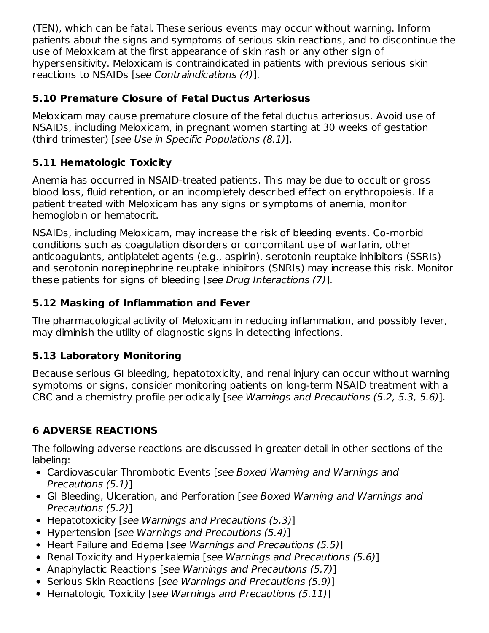(TEN), which can be fatal. These serious events may occur without warning. Inform patients about the signs and symptoms of serious skin reactions, and to discontinue the use of Meloxicam at the first appearance of skin rash or any other sign of hypersensitivity. Meloxicam is contraindicated in patients with previous serious skin reactions to NSAIDs [see Contraindications (4)].

## **5.10 Premature Closure of Fetal Ductus Arteriosus**

Meloxicam may cause premature closure of the fetal ductus arteriosus. Avoid use of NSAIDs, including Meloxicam, in pregnant women starting at 30 weeks of gestation (third trimester) [see Use in Specific Populations (8.1)].

## **5.11 Hematologic Toxicity**

Anemia has occurred in NSAID-treated patients. This may be due to occult or gross blood loss, fluid retention, or an incompletely described effect on erythropoiesis. If a patient treated with Meloxicam has any signs or symptoms of anemia, monitor hemoglobin or hematocrit.

NSAIDs, including Meloxicam, may increase the risk of bleeding events. Co-morbid conditions such as coagulation disorders or concomitant use of warfarin, other anticoagulants, antiplatelet agents (e.g., aspirin), serotonin reuptake inhibitors (SSRIs) and serotonin norepinephrine reuptake inhibitors (SNRIs) may increase this risk. Monitor these patients for signs of bleeding [see Drug Interactions (7)].

### **5.12 Masking of Inflammation and Fever**

The pharmacological activity of Meloxicam in reducing inflammation, and possibly fever, may diminish the utility of diagnostic signs in detecting infections.

### **5.13 Laboratory Monitoring**

Because serious GI bleeding, hepatotoxicity, and renal injury can occur without warning symptoms or signs, consider monitoring patients on long-term NSAID treatment with a CBC and a chemistry profile periodically [see Warnings and Precautions (5.2, 5.3, 5.6)].

## **6 ADVERSE REACTIONS**

The following adverse reactions are discussed in greater detail in other sections of the labeling:

- Cardiovascular Thrombotic Events [see Boxed Warning and Warnings and Precautions (5.1)]
- GI Bleeding, Ulceration, and Perforation [see Boxed Warning and Warnings and Precautions (5.2)]
- Hepatotoxicity [see Warnings and Precautions (5.3)]
- Hypertension [see Warnings and Precautions (5.4)]
- Heart Failure and Edema [see Warnings and Precautions (5.5)]
- Renal Toxicity and Hyperkalemia [see Warnings and Precautions (5.6)]
- Anaphylactic Reactions [see Warnings and Precautions (5.7)]
- Serious Skin Reactions [see Warnings and Precautions (5.9)]
- Hematologic Toxicity [see Warnings and Precautions (5.11)]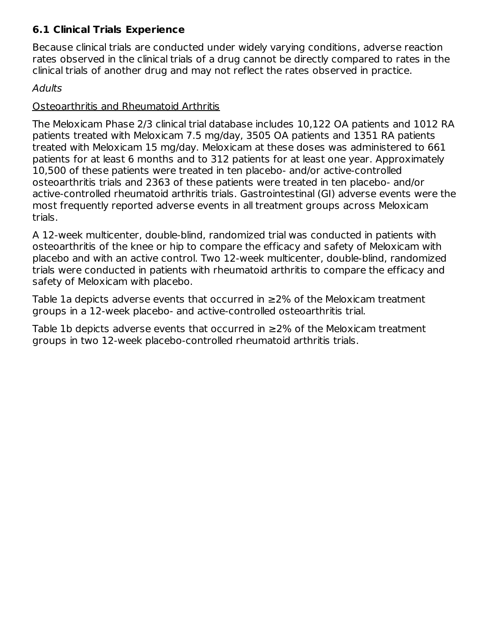## **6.1 Clinical Trials Experience**

Because clinical trials are conducted under widely varying conditions, adverse reaction rates observed in the clinical trials of a drug cannot be directly compared to rates in the clinical trials of another drug and may not reflect the rates observed in practice.

#### **Adults**

#### Osteoarthritis and Rheumatoid Arthritis

The Meloxicam Phase 2/3 clinical trial database includes 10,122 OA patients and 1012 RA patients treated with Meloxicam 7.5 mg/day, 3505 OA patients and 1351 RA patients treated with Meloxicam 15 mg/day. Meloxicam at these doses was administered to 661 patients for at least 6 months and to 312 patients for at least one year. Approximately 10,500 of these patients were treated in ten placebo- and/or active-controlled osteoarthritis trials and 2363 of these patients were treated in ten placebo- and/or active-controlled rheumatoid arthritis trials. Gastrointestinal (GI) adverse events were the most frequently reported adverse events in all treatment groups across Meloxicam trials.

A 12-week multicenter, double-blind, randomized trial was conducted in patients with osteoarthritis of the knee or hip to compare the efficacy and safety of Meloxicam with placebo and with an active control. Two 12-week multicenter, double-blind, randomized trials were conducted in patients with rheumatoid arthritis to compare the efficacy and safety of Meloxicam with placebo.

Table 1a depicts adverse events that occurred in ≥2% of the Meloxicam treatment groups in a 12-week placebo- and active-controlled osteoarthritis trial.

Table 1b depicts adverse events that occurred in ≥2% of the Meloxicam treatment groups in two 12-week placebo-controlled rheumatoid arthritis trials.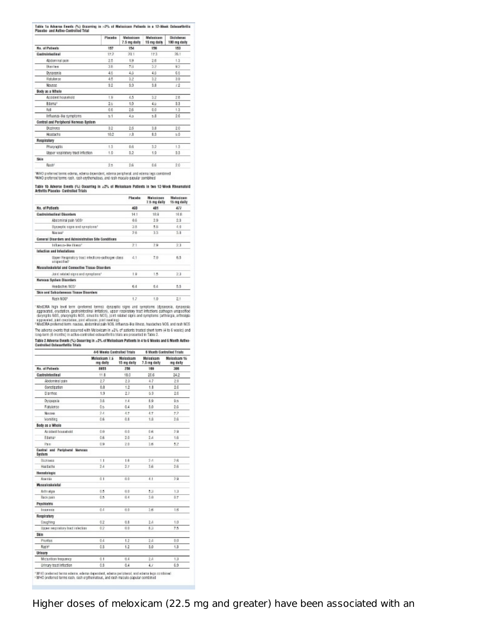|                                       | Placebo       | Melazicam<br>7.5 mg daliy | Melazicam<br>15 mg daily | <b>Bidolesse:</b><br>100 mg daily |
|---------------------------------------|---------------|---------------------------|--------------------------|-----------------------------------|
| No. of Patients                       | 157           | 154                       | 158                      | 153                               |
| Gastrointestinal                      | 172           | 201                       | 173                      | 26.1                              |
| Abdominal pain                        | 2.5           | 1.9                       | 2.6                      | 1.3                               |
| <b>Harrisa</b>                        | ЗB            | 7.8                       | 32                       | 92                                |
| Dyspepsia                             | 45            | 4.5                       | 4.5                      | G.S                               |
| Ratulence                             | 45            | 3.2                       | 3.2                      | 3B                                |
| Naussa.                               | 3.2           | 8.9                       | 3.8                      | $12^{1}$                          |
| Body as a Whole                       |               |                           |                          |                                   |
| Accident household                    | 1.9           | 4.5                       | 3.2                      | 2.6                               |
| Edema <sup>1</sup>                    | 2.6           | 1.9                       | 4.6                      | 33                                |
| Foll                                  | 0.6           | 2.6                       | 0.0                      | 1.3                               |
| Influenza-like symptoms               | 5.1           | 4.3                       | 8.8                      | 26                                |
| Contral and Peripheral Nervous System |               |                           |                          |                                   |
| <b>Discinoss</b>                      | $3.2^{\circ}$ | 2.6                       | 3.8                      | 2.0                               |
| Hoadacha                              | 10.2          | 73                        | 8.3                      | 59                                |
| <b>Respiratory</b>                    |               |                           |                          |                                   |
| Pharynoitis                           | 1.5           | 0.6                       | 82                       | 1.5                               |
| Upper respiratory tract infection     | 1.9           | 3.2                       | 1.9                      | 3.5                               |
| Skin                                  |               |                           |                          |                                   |
| Rosh <sup>1</sup>                     | 2.8           | 26                        | Ûñ                       | 20                                |

.<br>WHO preferred terms edema, edema dependent, edema peripheral, and edema lags combined.<br>WHO preferred terms rash, rash erythematous, and rash maculo papular combined.

Table th Adverse Events (%) Occurring in ±2% of Meloskam Patients in two 12-Week Rheumatold<br>Arthritis Placebo-Controlled Trials

| Phoneton | <b>Nekoticsm</b><br>7.5 mg daily | Melopicam<br>15 mg daily |
|----------|----------------------------------|--------------------------|
| 459      | 481                              | 477                      |
| 14.1     | 18.9                             | 18.81                    |
| ű£       | 29                               | 23                       |
| 3.8      | 5.8                              | 4.01                     |
| 28       | 33                               | \$â                      |
|          |                                  |                          |
| 21       | 2.9                              | 23                       |
|          |                                  |                          |
| 4.1      | 7.0                              | 6.5                      |
|          |                                  |                          |
| 1.9      | 1.5                              | 23                       |
|          |                                  |                          |
| 64       | 64                               | 5.5                      |
|          |                                  |                          |
| 1.7      | 1.0                              | 2.1                      |
|          |                                  |                          |

"MedDRA high level form (preferred terms), dynamics agree and symptoms (dynamotic, dynamics)<br>aggressions, cautation, gatheristicall infinition), upper respiratory teach infinitions approaches.<br>Approximation in the symptom

|                                  | Table 2 Adverse Events (%) Documing in ±2% of Meloxicam Patients in 4 to 6 Weeks and 6 Month Active- |
|----------------------------------|------------------------------------------------------------------------------------------------------|
| Controlled Ostagarthritis Trials |                                                                                                      |

|                                          | <b>4-6 Meeks Controlled Trials</b> |                          | <b>6 Month Controlled Trials</b> |                          |
|------------------------------------------|------------------------------------|--------------------------|----------------------------------|--------------------------|
|                                          | Molesicam 7.6<br>mg daily          | Meloxicam<br>15 mg daily | Melegicam<br>7.5 mg daily        | Meloxicam 16<br>mg daily |
| No. of Patients                          | 8955                               | 758                      | 189                              | 336                      |
| <b>GastroIntestinal</b>                  | 11.8                               | 18.0                     | 26.6                             | 24.2                     |
| Abdominal pain                           | 2.7                                | 23                       | 47                               | 29                       |
| Constitution                             | 0.3                                | 1.2                      | 1.8                              | 26                       |
| Diarrhoz.                                | 1.9                                | $^{17}$                  | 53                               | 26                       |
| Dyspaps ia                               | 3.8                                | $T\ddot{A}$              | 8.9                              | 9s                       |
| <b>Flatulence</b>                        | űь                                 | 0.4                      | 3.0                              | 2.6                      |
| Morrows                                  | 2.6                                | 47                       | 4.7                              | 72                       |
| Voniting                                 | 0.6                                | 0.8                      | 1.8                              | 2.6                      |
| Body as a Whole                          |                                    |                          |                                  |                          |
| Accident household                       | 0.0                                | ũФ                       | ΰß                               | 2.9                      |
| Edamay                                   | 46                                 | 2.0                      | 2.4                              | 1.6                      |
| Pain                                     | 0.9                                | 2.0                      | 3.6%                             | 52                       |
| Central and Peripheral Mervons<br>Sestem |                                    |                          |                                  |                          |
| Поэтимов                                 | 1.1                                | 1.6                      | 24                               | 28                       |
| Hoadacha                                 | 24                                 | 27                       | 3.6                              | 26                       |
| <b>Hernaldiopic</b>                      |                                    |                          |                                  |                          |
| Anemia                                   | 0.1                                | üФ                       | 4.1                              | 2.9                      |
| Museuloskeietal                          |                                    |                          |                                  |                          |
| Arthralgia                               | 0.5                                | üΦ                       | 53                               | 13                       |
| Back pain                                | 0.5                                | Ú.4                      | 5.0                              | D.T                      |
| Psychiatric                              |                                    |                          |                                  |                          |
| <b>Ingerma</b>                           | 0.6                                | üФ                       | 3.6                              | 1.6                      |
| Respiratory                              |                                    |                          |                                  |                          |
| Coughing                                 | 0.2                                | U.B                      | 2,4                              | 1.0                      |
| Upper respiratory tract intection        | 02                                 | ПФ                       | 13                               | 75                       |
| Skin                                     |                                    |                          |                                  |                          |
| Pruntius                                 | 0.4                                | 1.2                      | 2,4                              | D.O                      |
| Rach <sup>1</sup>                        | 0.8                                | 1.2                      | 8.0                              | 1.3                      |
| Urinary                                  |                                    |                          |                                  |                          |
| Miclantion hequency                      | 0.1                                | 0.4                      | 24                               | 13                       |
| Uninary tract Infection                  | ű.S                                | 0.4                      | 4.7                              | 6.9                      |

Higher doses of meloxicam (22.5 mg and greater) have been associated with an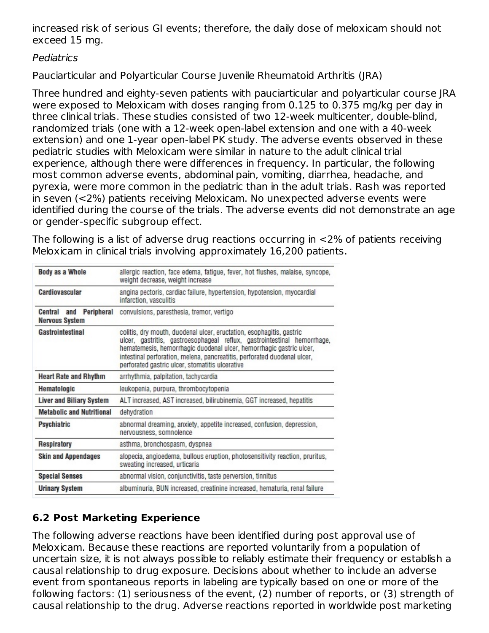increased risk of serious GI events; therefore, the daily dose of meloxicam should not exceed 15 mg.

### Pediatrics

### Pauciarticular and Polyarticular Course Juvenile Rheumatoid Arthritis (JRA)

Three hundred and eighty-seven patients with pauciarticular and polyarticular course JRA were exposed to Meloxicam with doses ranging from 0.125 to 0.375 mg/kg per day in three clinical trials. These studies consisted of two 12-week multicenter, double-blind, randomized trials (one with a 12-week open-label extension and one with a 40-week extension) and one 1-year open-label PK study. The adverse events observed in these pediatric studies with Meloxicam were similar in nature to the adult clinical trial experience, although there were differences in frequency. In particular, the following most common adverse events, abdominal pain, vomiting, diarrhea, headache, and pyrexia, were more common in the pediatric than in the adult trials. Rash was reported in seven (<2%) patients receiving Meloxicam. No unexpected adverse events were identified during the course of the trials. The adverse events did not demonstrate an age or gender-specific subgroup effect.

The following is a list of adverse drug reactions occurring in <2% of patients receiving Meloxicam in clinical trials involving approximately 16,200 patients.

| Body as a Whole                                    | allergic reaction, face edema, fatigue, fever, hot flushes, malaise, syncope,<br>weight decrease, weight increase                                                                                                                                                                                                                                     |  |  |
|----------------------------------------------------|-------------------------------------------------------------------------------------------------------------------------------------------------------------------------------------------------------------------------------------------------------------------------------------------------------------------------------------------------------|--|--|
| Cardiovascular                                     | angina pectoris, cardiac failure, hypertension, hypotension, myocardial<br>infarction, vasculitis                                                                                                                                                                                                                                                     |  |  |
| Central<br>and Peripheral<br><b>Nervous System</b> | convulsions, paresthesia, tremor, vertigo                                                                                                                                                                                                                                                                                                             |  |  |
| Gastrointestinal                                   | colitis, dry mouth, duodenal ulcer, eructation, esophagitis, gastric<br>ulcer, gastritis, gastroesophageal reflux, gastrointestinal hemorrhage,<br>hematemesis, hemorrhagic duodenal ulcer, hemorrhagic gastric ulcer,<br>intestinal perforation, melena, pancreatitis, perforated duodenal ulcer,<br>perforated gastric ulcer, stomatitis ulcerative |  |  |
| <b>Heart Rate and Rhythm</b>                       | arrhythmia, palpitation, tachycardia                                                                                                                                                                                                                                                                                                                  |  |  |
| <b>Hematologic</b>                                 | leukopenia, purpura, thrombocytopenia                                                                                                                                                                                                                                                                                                                 |  |  |
| <b>Liver and Biliary System</b>                    | ALT increased, AST increased, bilirubinemia, GGT increased, hepatitis                                                                                                                                                                                                                                                                                 |  |  |
| <b>Metabolic and Nutritional</b>                   | dehydration                                                                                                                                                                                                                                                                                                                                           |  |  |
| <b>Psychiatric</b>                                 | abnormal dreaming, anxiety, appetite increased, confusion, depression,<br>nervousness, somnolence                                                                                                                                                                                                                                                     |  |  |
| Respiratory                                        | asthma, bronchospasm, dyspnea                                                                                                                                                                                                                                                                                                                         |  |  |
| <b>Skin and Appendages</b>                         | alopecia, angioedema, bullous eruption, photosensitivity reaction, pruritus,<br>sweating increased, urticaria                                                                                                                                                                                                                                         |  |  |
| <b>Special Senses</b>                              | abnormal vision, conjunctivitis, taste perversion, tinnitus                                                                                                                                                                                                                                                                                           |  |  |
| <b>Urinary System</b>                              | albuminuria, BUN increased, creatinine increased, hematuria, renal failure                                                                                                                                                                                                                                                                            |  |  |
|                                                    |                                                                                                                                                                                                                                                                                                                                                       |  |  |

## **6.2 Post Marketing Experience**

The following adverse reactions have been identified during post approval use of Meloxicam. Because these reactions are reported voluntarily from a population of uncertain size, it is not always possible to reliably estimate their frequency or establish a causal relationship to drug exposure. Decisions about whether to include an adverse event from spontaneous reports in labeling are typically based on one or more of the following factors: (1) seriousness of the event, (2) number of reports, or (3) strength of causal relationship to the drug. Adverse reactions reported in worldwide post marketing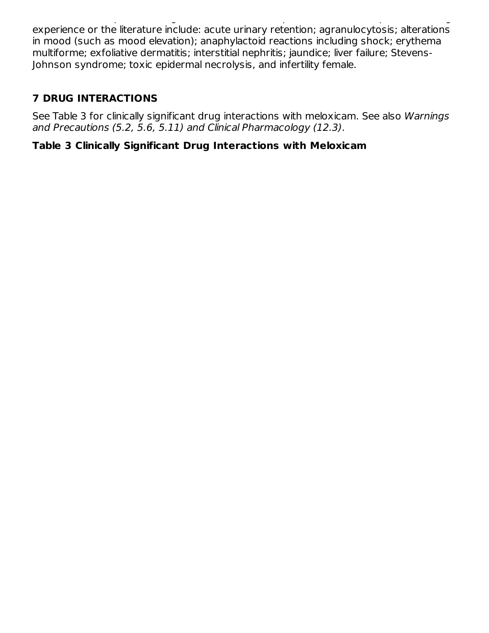causal relationship to the drug. Adverse reactions reported in worldwide post marketing experience or the literature include: acute urinary retention; agranulocytosis; alterations in mood (such as mood elevation); anaphylactoid reactions including shock; erythema multiforme; exfoliative dermatitis; interstitial nephritis; jaundice; liver failure; Stevens-Johnson syndrome; toxic epidermal necrolysis, and infertility female.

## **7 DRUG INTERACTIONS**

See Table 3 for clinically significant drug interactions with meloxicam. See also Warnings and Precautions (5.2, 5.6, 5.11) and Clinical Pharmacology (12.3).

## **Table 3 Clinically Significant Drug Interactions with Meloxicam**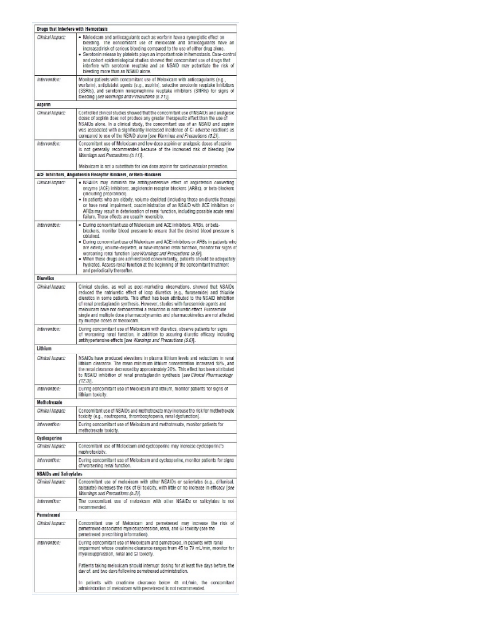|                                   | Drugs that Interfere with Hemostasis                                                                                                                                                                                                                                                                                                                                                                                                                                                                                                                                                     |
|-----------------------------------|------------------------------------------------------------------------------------------------------------------------------------------------------------------------------------------------------------------------------------------------------------------------------------------------------------------------------------------------------------------------------------------------------------------------------------------------------------------------------------------------------------------------------------------------------------------------------------------|
| <b>Olivical Impact:</b>           | . Meloxicam and anticoagulants such as warfarin have a synergistic effect on<br>bleeding. The concomitant use of meloxicam and anticoagulants have an<br>increased risk of serious bleeding compared to the use of either drug alone.<br>· Serotonin release by platelets plays an important role in hemostasis. Case-control<br>and cohort epidemiological studies showed that concomitant use of drugs that<br>interfere with serotonin reuptake and an NSAID may potentiate the risk of<br>bleeding more than an NSAID alone.                                                         |
| intervantion:                     | Monitor patients with concomitant use of Meloxicam with anticcagulants (e.g.,<br>warfarin), antiplatelet agents (e.g., aspirin), selective serotonin reuptake inhibitors<br>(SSRIs), and serotonin norepinephrine reuptake inhibitors (SNRIs) for signs of<br>bleeding [see Warnings and Precautions (5.11)].                                                                                                                                                                                                                                                                            |
| Aspirin                           |                                                                                                                                                                                                                                                                                                                                                                                                                                                                                                                                                                                          |
| <b>Olivical Impact:</b>           | Controlled clinical studies showed that the concomitant use of NSAIDs and analoesic<br>doses of aspirin does not produce any greater therapeutic effect than the use of<br>NSAIDs alone. In a clinical study, the concomitant use of an NSAID and aspirin<br>was associated with a significantly increased incidence of GI adverse reactions as<br>compared to use of the NSAID alone [see Warnings and Precautions (5.2)].                                                                                                                                                              |
| intervantion:                     | Concomitant use of Meloxicam and low dose aspirin or analgesic doses of aspirin<br>is not generally recommended because of the increased risk of bleeding [see<br>Warnings and Precautions (5.11).                                                                                                                                                                                                                                                                                                                                                                                       |
|                                   | Meloxicam is not a substitute for low dose aspirin for cardiovascular protection.                                                                                                                                                                                                                                                                                                                                                                                                                                                                                                        |
|                                   | ACE Inhibitors, Angiotensin Receptor Blockers, or Beta-Blockers                                                                                                                                                                                                                                                                                                                                                                                                                                                                                                                          |
| Clinical Impact:                  | . NSAIDs may diminish the antihypertensive effect of angiotensin converting<br>enzyme (ACE) inhibitors, angiotensin receptor blockers (ARBs), or beta-blockers<br>(including propranolol).<br>. In patients who are elderly, volume-depleted (including those on diuretic therapy).<br>or have renal impairment, coadministration of an NSAID with ACE inhibitors or<br>ARBs may result in deterioration of renal function, including possible acute renal<br>failure. These effects are usually reversible.                                                                             |
| intervantion:                     | · During concomitant use of Meloxicam and ACE inhibitors, ARBs, or beta-<br>blockers, monitor blood pressure to ensure that the desired blood pressure is<br>obtained.<br>. During concomitant use of Meloxicam and ACE inhibitors or ARBs in patients who<br>are elderly, volume-depleted, or have impaired renal function, monitor for signs of<br>worsening renal function (see Warnings and Precautions (5.6)).<br>. When these drugs are administered concomitantly, patients should be adequately<br>hydrated. Assess renal function at the beginning of the concomitant treatment |
|                                   | and periodically thereafter.                                                                                                                                                                                                                                                                                                                                                                                                                                                                                                                                                             |
| <b>Diuretics</b>                  |                                                                                                                                                                                                                                                                                                                                                                                                                                                                                                                                                                                          |
| Clinical Impact:                  | Clinical studies, as well as post-marketing observations, showed that NSAIDs<br>reduced the natriuretic effect of loop diuretics (e.g., furosemide) and thiazide<br>diuretics in some patients. This effect has been attributed to the NSAID inhibition<br>of renal prostaglandin synthesis. However, studies with furosemide agents and<br>meloxicam have not demonstrated a reduction in natriuretic effect. Furosemide<br>single and multiple dose pharmacodynamics and pharmacokinetics are not affected<br>by multiple doses of meloxicam.                                          |
| Intervention:                     | During concomitant use of Meloxicam with diuretics, observe patients for signs<br>of worsening renal function, in addition to assuring diuretic efficacy including<br>antihypertensive effects [see Warnings and Precautions (5.6)].                                                                                                                                                                                                                                                                                                                                                     |
| Lithium                           |                                                                                                                                                                                                                                                                                                                                                                                                                                                                                                                                                                                          |
| Clinical Impact:                  | NSAIDs have produced elevations in plasma lithium levels and reductions in renal<br>lithium clearance. The mean minimum lithium concentration increased 15%, and<br>the renal clearance decreased by approximately 20%. This effect has been attributed<br>to NSAID inhibition of renal prostaglandin synthesis (see Clinical Pharmacology<br>$(12.3)$ .                                                                                                                                                                                                                                 |
| intervention:                     | During concomitant use of Meloxicam and lithium, monitor patients for signs of<br>lithium toxicity.                                                                                                                                                                                                                                                                                                                                                                                                                                                                                      |
| Methotrexate                      |                                                                                                                                                                                                                                                                                                                                                                                                                                                                                                                                                                                          |
| Clinical Impact:<br>intervention: | Concomitant use of NSAIDs and methotrexate may increase the risk for methotrexate<br>toxicity (e.g., neutropenia, thrombocytopenia, renal dysfunction).<br>During concomitant use of Meloxicam and methotrexate, monitor patients for                                                                                                                                                                                                                                                                                                                                                    |
|                                   | methotrexate toxicity.                                                                                                                                                                                                                                                                                                                                                                                                                                                                                                                                                                   |
| Cyclosporine                      |                                                                                                                                                                                                                                                                                                                                                                                                                                                                                                                                                                                          |
| Clinical Impact:                  | Concomitant use of Meloxicam and cyclosporine may increase cyclosporine's<br>nephrotoxicity.                                                                                                                                                                                                                                                                                                                                                                                                                                                                                             |
| intervention:                     | During concomitant use of Meloxicam and cyclosporine, monitor patients for signs<br>of worsening renal function.                                                                                                                                                                                                                                                                                                                                                                                                                                                                         |
| <b>NSAIDs and Salicylates</b>     |                                                                                                                                                                                                                                                                                                                                                                                                                                                                                                                                                                                          |
| Clinical Impact:                  | Concomitant use of meloxicam with other NSAIDs or salicylates (e.g., diflunisal,<br>salsalate) increases the risk of GI toxicity, with little or no increase in efficacy [see<br>Warnings and Precautions (5.2)].                                                                                                                                                                                                                                                                                                                                                                        |
| intervention:                     | The concomitant use of meloxicam with other NSAIDs or salicylates is not<br>recommended.                                                                                                                                                                                                                                                                                                                                                                                                                                                                                                 |
| Pemetrexed                        |                                                                                                                                                                                                                                                                                                                                                                                                                                                                                                                                                                                          |
| Clinical Impact:                  | Concomitant use of Meloxicam and pemetrexed may increase the risk of<br>pemetrexed-associated myelosuppression, renal, and GI toxicity (see the<br>pemetrexed prescribing information).                                                                                                                                                                                                                                                                                                                                                                                                  |
| intervention:                     | During concomitant use of Meloxicam and pemetrexed, in patients with renal<br>impairment whose creatinine clearance ranges from 45 to 79 mL/min, monitor for<br>myelosuppression, renal and GI toxicity.                                                                                                                                                                                                                                                                                                                                                                                 |
|                                   | Patients taking meloxicam should interrupt dosing for at least five days before, the<br>day of, and two days following pemetrexed administration,<br>In patients with creatinine clearance below 45 mL/min, the concomitant                                                                                                                                                                                                                                                                                                                                                              |
|                                   | administration of meloxicam with pemetrexed is not recommended.                                                                                                                                                                                                                                                                                                                                                                                                                                                                                                                          |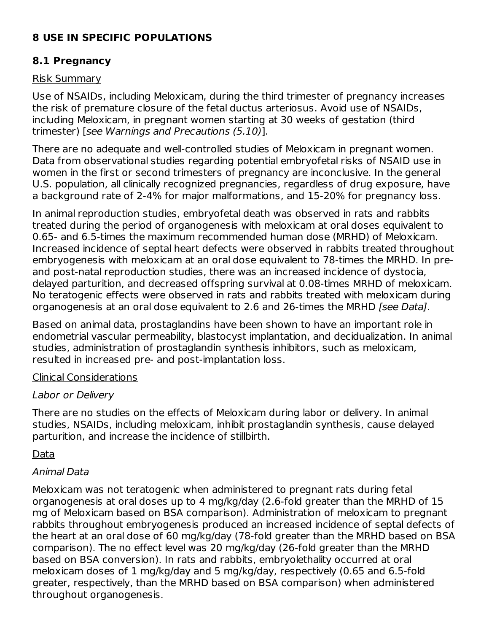## **8 USE IN SPECIFIC POPULATIONS**

### **8.1 Pregnancy**

#### Risk Summary

Use of NSAIDs, including Meloxicam, during the third trimester of pregnancy increases the risk of premature closure of the fetal ductus arteriosus. Avoid use of NSAIDs, including Meloxicam, in pregnant women starting at 30 weeks of gestation (third trimester) [see Warnings and Precautions (5.10)].

There are no adequate and well-controlled studies of Meloxicam in pregnant women. Data from observational studies regarding potential embryofetal risks of NSAID use in women in the first or second trimesters of pregnancy are inconclusive. In the general U.S. population, all clinically recognized pregnancies, regardless of drug exposure, have a background rate of 2-4% for major malformations, and 15-20% for pregnancy loss.

In animal reproduction studies, embryofetal death was observed in rats and rabbits treated during the period of organogenesis with meloxicam at oral doses equivalent to 0.65- and 6.5-times the maximum recommended human dose (MRHD) of Meloxicam. Increased incidence of septal heart defects were observed in rabbits treated throughout embryogenesis with meloxicam at an oral dose equivalent to 78-times the MRHD. In preand post-natal reproduction studies, there was an increased incidence of dystocia, delayed parturition, and decreased offspring survival at 0.08-times MRHD of meloxicam. No teratogenic effects were observed in rats and rabbits treated with meloxicam during organogenesis at an oral dose equivalent to 2.6 and 26-times the MRHD [see Data].

Based on animal data, prostaglandins have been shown to have an important role in endometrial vascular permeability, blastocyst implantation, and decidualization. In animal studies, administration of prostaglandin synthesis inhibitors, such as meloxicam, resulted in increased pre- and post-implantation loss.

### Clinical Considerations

### Labor or Delivery

There are no studies on the effects of Meloxicam during labor or delivery. In animal studies, NSAIDs, including meloxicam, inhibit prostaglandin synthesis, cause delayed parturition, and increase the incidence of stillbirth.

### Data

### Animal Data

Meloxicam was not teratogenic when administered to pregnant rats during fetal organogenesis at oral doses up to 4 mg/kg/day (2.6-fold greater than the MRHD of 15 mg of Meloxicam based on BSA comparison). Administration of meloxicam to pregnant rabbits throughout embryogenesis produced an increased incidence of septal defects of the heart at an oral dose of 60 mg/kg/day (78-fold greater than the MRHD based on BSA comparison). The no effect level was 20 mg/kg/day (26-fold greater than the MRHD based on BSA conversion). In rats and rabbits, embryolethality occurred at oral meloxicam doses of 1 mg/kg/day and 5 mg/kg/day, respectively (0.65 and 6.5-fold greater, respectively, than the MRHD based on BSA comparison) when administered throughout organogenesis.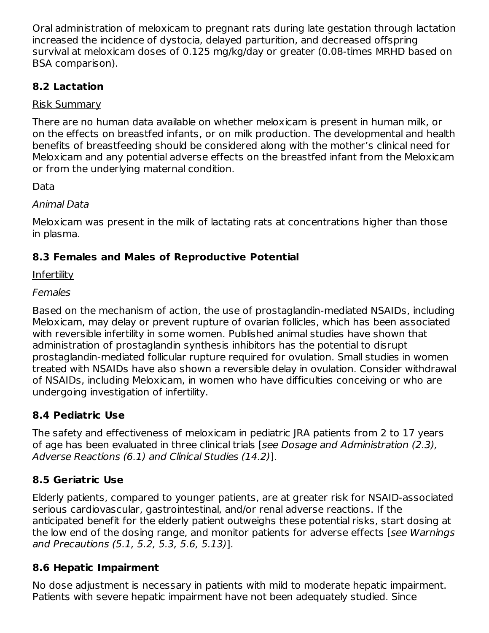Oral administration of meloxicam to pregnant rats during late gestation through lactation increased the incidence of dystocia, delayed parturition, and decreased offspring survival at meloxicam doses of 0.125 mg/kg/day or greater (0.08-times MRHD based on BSA comparison).

## **8.2 Lactation**

Risk Summary

There are no human data available on whether meloxicam is present in human milk, or on the effects on breastfed infants, or on milk production. The developmental and health benefits of breastfeeding should be considered along with the mother's clinical need for Meloxicam and any potential adverse effects on the breastfed infant from the Meloxicam or from the underlying maternal condition.

Data

Animal Data

Meloxicam was present in the milk of lactating rats at concentrations higher than those in plasma.

## **8.3 Females and Males of Reproductive Potential**

**Infertility** 

### Females

Based on the mechanism of action, the use of prostaglandin-mediated NSAIDs, including Meloxicam, may delay or prevent rupture of ovarian follicles, which has been associated with reversible infertility in some women. Published animal studies have shown that administration of prostaglandin synthesis inhibitors has the potential to disrupt prostaglandin-mediated follicular rupture required for ovulation. Small studies in women treated with NSAIDs have also shown a reversible delay in ovulation. Consider withdrawal of NSAIDs, including Meloxicam, in women who have difficulties conceiving or who are undergoing investigation of infertility.

## **8.4 Pediatric Use**

The safety and effectiveness of meloxicam in pediatric JRA patients from 2 to 17 years of age has been evaluated in three clinical trials [see Dosage and Administration (2.3), Adverse Reactions (6.1) and Clinical Studies (14.2)].

## **8.5 Geriatric Use**

Elderly patients, compared to younger patients, are at greater risk for NSAID-associated serious cardiovascular, gastrointestinal, and/or renal adverse reactions. If the anticipated benefit for the elderly patient outweighs these potential risks, start dosing at the low end of the dosing range, and monitor patients for adverse effects [see Warnings] and Precautions (5.1, 5.2, 5.3, 5.6, 5.13)].

## **8.6 Hepatic Impairment**

No dose adjustment is necessary in patients with mild to moderate hepatic impairment. Patients with severe hepatic impairment have not been adequately studied. Since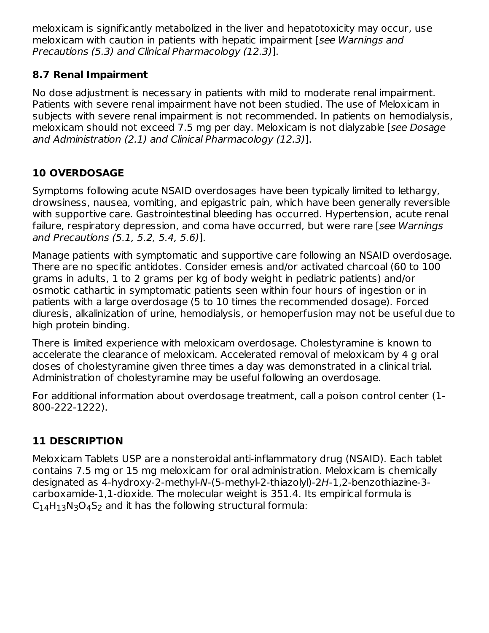meloxicam is significantly metabolized in the liver and hepatotoxicity may occur, use meloxicam with caution in patients with hepatic impairment [see Warnings and Precautions (5.3) and Clinical Pharmacology (12.3)].

## **8.7 Renal Impairment**

No dose adjustment is necessary in patients with mild to moderate renal impairment. Patients with severe renal impairment have not been studied. The use of Meloxicam in subjects with severe renal impairment is not recommended. In patients on hemodialysis, meloxicam should not exceed 7.5 mg per day. Meloxicam is not dialyzable [see Dosage and Administration (2.1) and Clinical Pharmacology (12.3)].

## **10 OVERDOSAGE**

Symptoms following acute NSAID overdosages have been typically limited to lethargy, drowsiness, nausea, vomiting, and epigastric pain, which have been generally reversible with supportive care. Gastrointestinal bleeding has occurred. Hypertension, acute renal failure, respiratory depression, and coma have occurred, but were rare [see Warnings] and Precautions (5.1, 5.2, 5.4, 5.6)].

Manage patients with symptomatic and supportive care following an NSAID overdosage. There are no specific antidotes. Consider emesis and/or activated charcoal (60 to 100 grams in adults, 1 to 2 grams per kg of body weight in pediatric patients) and/or osmotic cathartic in symptomatic patients seen within four hours of ingestion or in patients with a large overdosage (5 to 10 times the recommended dosage). Forced diuresis, alkalinization of urine, hemodialysis, or hemoperfusion may not be useful due to high protein binding.

There is limited experience with meloxicam overdosage. Cholestyramine is known to accelerate the clearance of meloxicam. Accelerated removal of meloxicam by 4 g oral doses of cholestyramine given three times a day was demonstrated in a clinical trial. Administration of cholestyramine may be useful following an overdosage.

For additional information about overdosage treatment, call a poison control center (1- 800-222-1222).

# **11 DESCRIPTION**

Meloxicam Tablets USP are a nonsteroidal anti-inflammatory drug (NSAID). Each tablet contains 7.5 mg or 15 mg meloxicam for oral administration. Meloxicam is chemically designated as 4-hydroxy-2-methyl-N-(5-methyl-2-thiazolyl)-2H-1,2-benzothiazine-3 carboxamide-1,1-dioxide. The molecular weight is 351.4. Its empirical formula is  $C_{14}H_{13}N_3O_4S_2$  and it has the following structural formula: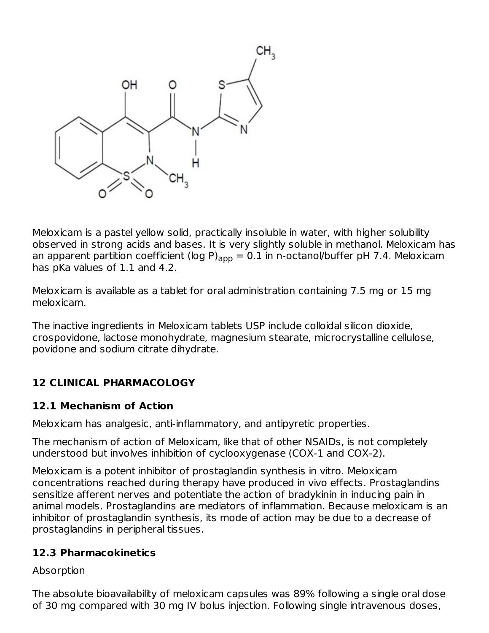

Meloxicam is a pastel yellow solid, practically insoluble in water, with higher solubility observed in strong acids and bases. It is very slightly soluble in methanol. Meloxicam has an apparent partition coefficient (log P)<sub>app</sub> = 0.1 in n-octanol/buffer pH 7.4. Meloxicam has pKa values of 1.1 and 4.2.

Meloxicam is available as a tablet for oral administration containing 7.5 mg or 15 mg meloxicam.

The inactive ingredients in Meloxicam tablets USP include colloidal silicon dioxide, crospovidone, lactose monohydrate, magnesium stearate, microcrystalline cellulose, povidone and sodium citrate dihydrate.

## **12 CLINICAL PHARMACOLOGY**

### **12.1 Mechanism of Action**

Meloxicam has analgesic, anti-inflammatory, and antipyretic properties.

The mechanism of action of Meloxicam, like that of other NSAIDs, is not completely understood but involves inhibition of cyclooxygenase (COX-1 and COX-2).

Meloxicam is a potent inhibitor of prostaglandin synthesis in vitro. Meloxicam concentrations reached during therapy have produced in vivo effects. Prostaglandins sensitize afferent nerves and potentiate the action of bradykinin in inducing pain in animal models. Prostaglandins are mediators of inflammation. Because meloxicam is an inhibitor of prostaglandin synthesis, its mode of action may be due to a decrease of prostaglandins in peripheral tissues.

### **12.3 Pharmacokinetics**

### Absorption

The absolute bioavailability of meloxicam capsules was 89% following a single oral dose of 30 mg compared with 30 mg IV bolus injection. Following single intravenous doses,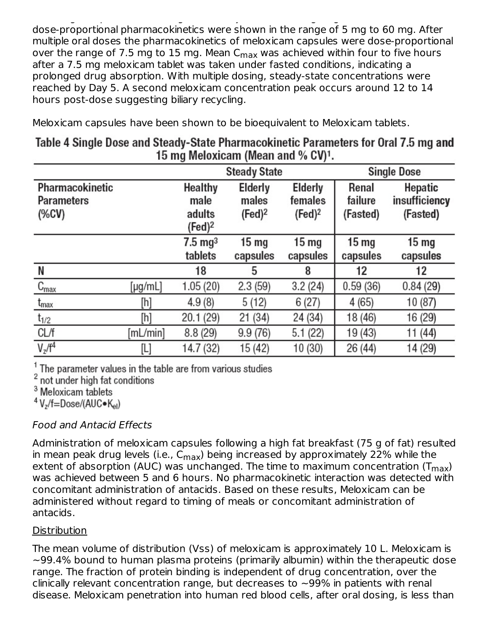of 30 mg compared with 30 mg IV bolus injection. Following single intravenous doses, dose-proportional pharmacokinetics were shown in the range of 5 mg to 60 mg. After multiple oral doses the pharmacokinetics of meloxicam capsules were dose-proportional over the range of 7.5 mg to 15 mg. Mean C<sub>max</sub> was achieved within four to five hours after a 7.5 mg meloxicam tablet was taken under fasted conditions, indicating a prolonged drug absorption. With multiple dosing, steady-state concentrations were reached by Day 5. A second meloxicam concentration peak occurs around 12 to 14 hours post-dose suggesting biliary recycling.

Meloxicam capsules have been shown to be bioequivalent to Meloxicam tablets.

|                                                  |          | <b>Steady State</b>                             |                               |                                 |                              | Single Dose                          |
|--------------------------------------------------|----------|-------------------------------------------------|-------------------------------|---------------------------------|------------------------------|--------------------------------------|
| Pharmacokinetic<br><b>Parameters</b><br>$(\%CV)$ |          | Healthy<br>male<br>adults<br>(Fed) <sup>2</sup> | Elderly<br>males<br>$(Fed)^2$ | Elderly<br>females<br>$(Fed)^2$ | Renal<br>failure<br>(Fasted) | Hepatic<br>insufficiency<br>(Fasted) |
|                                                  |          | $7.5 \text{ mg}^3$<br>tablets                   | 15 <sub>mg</sub><br>capsules  | 15 <sub>mg</sub><br>capsules    | 15 mg<br>capsules            | 15 <sub>mg</sub><br>capsules         |
| N                                                |          | 18                                              | 5                             | 8                               | 12                           | 12                                   |
| $C_{\text{max}}$                                 | [µg/mL]  | 1.05(20)                                        | 2.3(59)                       | 3.2(24)                         | 0.59(36)                     | 0.84(29)                             |
| t <sub>max</sub>                                 | [h]      | 4.9(8)                                          | 5(12)                         | 6(27)                           | 4(65)                        | 10 (87)                              |
| $t_{1/2}$                                        | [h]      | 20.1 (29)                                       | 21(34)                        | 24 (34)                         | 18 (46)                      | 16 (29)                              |
| CL/f                                             | [mL/min] | 8.8(29)                                         | 9.9(76)                       | 5.1(22)                         | 19 (43)                      | 11 (44)                              |
| $V_z/f^4$                                        | [L]      | 14.7 (32)                                       | 15 (42)                       | 10 (30)                         | 26 (44)                      | 14 (29)                              |

Table 4 Single Dose and Steady-State Pharmacokinetic Parameters for Oral 7.5 mg and 15 mg Meloxicam (Mean and % CV)1

<sup>1</sup> The parameter values in the table are from various studies  $\frac{2}{3}$  not under high fat conditions

<sup>3</sup> Meloxicam tablets

 $4 V<sub>7</sub>/f = Dose/(AUC • K<sub>el</sub>)$ 

## Food and Antacid Effects

Administration of meloxicam capsules following a high fat breakfast (75 g of fat) resulted in mean peak drug levels (i.e.,  $\mathsf{C}_{\mathsf{max}}$ ) being increased by approximately 22% while the extent of absorption (AUC) was unchanged. The time to maximum concentration (T $_{\sf max}$ ) was achieved between 5 and 6 hours. No pharmacokinetic interaction was detected with concomitant administration of antacids. Based on these results, Meloxicam can be administered without regard to timing of meals or concomitant administration of antacids.

## **Distribution**

The mean volume of distribution (Vss) of meloxicam is approximately 10 L. Meloxicam is  $\sim$ 99.4% bound to human plasma proteins (primarily albumin) within the therapeutic dose range. The fraction of protein binding is independent of drug concentration, over the clinically relevant concentration range, but decreases to  $\sim$ 99% in patients with renal disease. Meloxicam penetration into human red blood cells, after oral dosing, is less than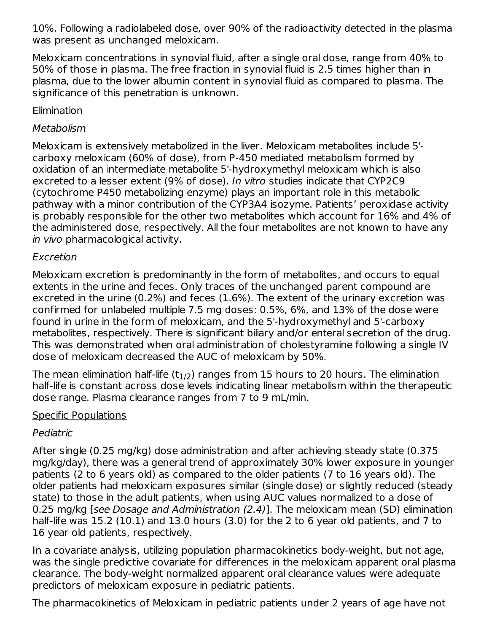10%. Following a radiolabeled dose, over 90% of the radioactivity detected in the plasma was present as unchanged meloxicam.

Meloxicam concentrations in synovial fluid, after a single oral dose, range from 40% to 50% of those in plasma. The free fraction in synovial fluid is 2.5 times higher than in plasma, due to the lower albumin content in synovial fluid as compared to plasma. The significance of this penetration is unknown.

### **Elimination**

### Metabolism

Meloxicam is extensively metabolized in the liver. Meloxicam metabolites include 5' carboxy meloxicam (60% of dose), from P-450 mediated metabolism formed by oxidation of an intermediate metabolite 5'-hydroxymethyl meloxicam which is also excreted to a lesser extent (9% of dose). In vitro studies indicate that CYP2C9 (cytochrome P450 metabolizing enzyme) plays an important role in this metabolic pathway with a minor contribution of the CYP3A4 isozyme. Patients' peroxidase activity is probably responsible for the other two metabolites which account for 16% and 4% of the administered dose, respectively. All the four metabolites are not known to have any in vivo pharmacological activity.

### Excretion

Meloxicam excretion is predominantly in the form of metabolites, and occurs to equal extents in the urine and feces. Only traces of the unchanged parent compound are excreted in the urine (0.2%) and feces (1.6%). The extent of the urinary excretion was confirmed for unlabeled multiple 7.5 mg doses: 0.5%, 6%, and 13% of the dose were found in urine in the form of meloxicam, and the 5'-hydroxymethyl and 5'-carboxy metabolites, respectively. There is significant biliary and/or enteral secretion of the drug. This was demonstrated when oral administration of cholestyramine following a single IV dose of meloxicam decreased the AUC of meloxicam by 50%.

The mean elimination half-life (t $_{\rm 1/2}$ ) ranges from 15 hours to 20 hours. The elimination half-life is constant across dose levels indicating linear metabolism within the therapeutic dose range. Plasma clearance ranges from 7 to 9 mL/min.

### Specific Populations

### Pediatric

After single (0.25 mg/kg) dose administration and after achieving steady state (0.375 mg/kg/day), there was a general trend of approximately 30% lower exposure in younger patients (2 to 6 years old) as compared to the older patients (7 to 16 years old). The older patients had meloxicam exposures similar (single dose) or slightly reduced (steady state) to those in the adult patients, when using AUC values normalized to a dose of 0.25 mg/kg [see Dosage and Administration (2.4)]. The meloxicam mean (SD) elimination half-life was 15.2 (10.1) and 13.0 hours (3.0) for the 2 to 6 year old patients, and 7 to 16 year old patients, respectively.

In a covariate analysis, utilizing population pharmacokinetics body-weight, but not age, was the single predictive covariate for differences in the meloxicam apparent oral plasma clearance. The body-weight normalized apparent oral clearance values were adequate predictors of meloxicam exposure in pediatric patients.

The pharmacokinetics of Meloxicam in pediatric patients under 2 years of age have not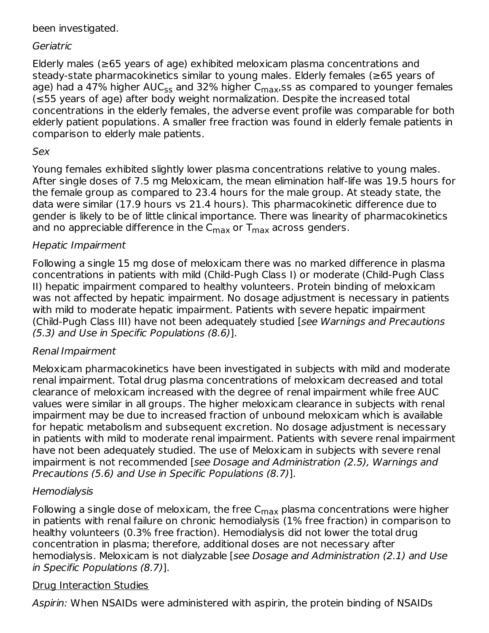#### been investigated.

#### Geriatric

Elderly males (≥65 years of age) exhibited meloxicam plasma concentrations and steady-state pharmacokinetics similar to young males. Elderly females (≥65 years of age) had a 47% higher AUC<sub>ss</sub> and 32% higher C<sub>max</sub>,ss as compared to younger females (≤55 years of age) after body weight normalization. Despite the increased total concentrations in the elderly females, the adverse event profile was comparable for both elderly patient populations. A smaller free fraction was found in elderly female patients in comparison to elderly male patients.

#### Sex

Young females exhibited slightly lower plasma concentrations relative to young males. After single doses of 7.5 mg Meloxicam, the mean elimination half-life was 19.5 hours for the female group as compared to 23.4 hours for the male group. At steady state, the data were similar (17.9 hours vs 21.4 hours). This pharmacokinetic difference due to gender is likely to be of little clinical importance. There was linearity of pharmacokinetics and no appreciable difference in the  $\mathsf{C}_{\mathsf{max}}$  or  $\mathsf{T}_{\mathsf{max}}$  across genders.

#### Hepatic Impairment

Following a single 15 mg dose of meloxicam there was no marked difference in plasma concentrations in patients with mild (Child-Pugh Class I) or moderate (Child-Pugh Class II) hepatic impairment compared to healthy volunteers. Protein binding of meloxicam was not affected by hepatic impairment. No dosage adjustment is necessary in patients with mild to moderate hepatic impairment. Patients with severe hepatic impairment (Child-Pugh Class III) have not been adequately studied [see Warnings and Precautions (5.3) and Use in Specific Populations (8.6)].

#### Renal Impairment

Meloxicam pharmacokinetics have been investigated in subjects with mild and moderate renal impairment. Total drug plasma concentrations of meloxicam decreased and total clearance of meloxicam increased with the degree of renal impairment while free AUC values were similar in all groups. The higher meloxicam clearance in subjects with renal impairment may be due to increased fraction of unbound meloxicam which is available for hepatic metabolism and subsequent excretion. No dosage adjustment is necessary in patients with mild to moderate renal impairment. Patients with severe renal impairment have not been adequately studied. The use of Meloxicam in subjects with severe renal impairment is not recommended [see Dosage and Administration (2.5), Warnings and Precautions (5.6) and Use in Specific Populations (8.7)].

### Hemodialysis

Following a single dose of meloxicam, the free  $\mathsf{C}_{\mathsf{max}}$  plasma concentrations were higher in patients with renal failure on chronic hemodialysis (1% free fraction) in comparison to healthy volunteers (0.3% free fraction). Hemodialysis did not lower the total drug concentration in plasma; therefore, additional doses are not necessary after hemodialysis. Meloxicam is not dialyzable [see Dosage and Administration (2.1) and Use in Specific Populations (8.7)].

#### Drug Interaction Studies

Aspirin: When NSAIDs were administered with aspirin, the protein binding of NSAIDs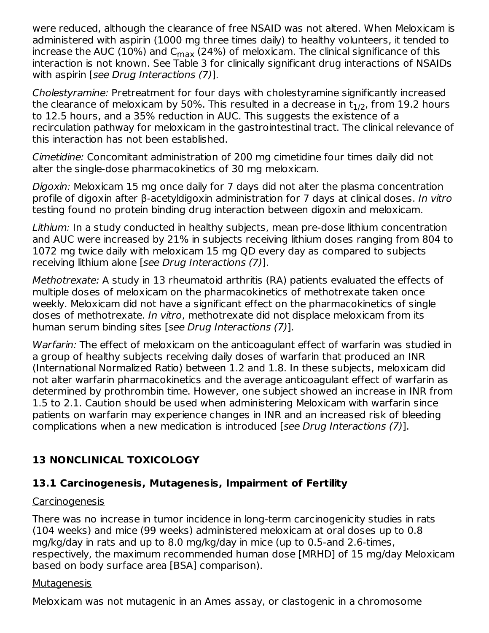were reduced, although the clearance of free NSAID was not altered. When Meloxicam is administered with aspirin (1000 mg three times daily) to healthy volunteers, it tended to increase the AUC (10%) and C $_{\sf max}$  (24%) of meloxicam. The clinical significance of this interaction is not known. See Table 3 for clinically significant drug interactions of NSAIDs with aspirin [see Drug Interactions (7)].

Cholestyramine: Pretreatment for four days with cholestyramine significantly increased the clearance of meloxicam by 50%. This resulted in a decrease in  ${\rm t}_{\rm 1/2}$ , from 19.2 hours to 12.5 hours, and a 35% reduction in AUC. This suggests the existence of a recirculation pathway for meloxicam in the gastrointestinal tract. The clinical relevance of this interaction has not been established.

Cimetidine: Concomitant administration of 200 mg cimetidine four times daily did not alter the single-dose pharmacokinetics of 30 mg meloxicam.

Digoxin: Meloxicam 15 mg once daily for 7 days did not alter the plasma concentration profile of digoxin after β-acetyldigoxin administration for 7 days at clinical doses. In vitro testing found no protein binding drug interaction between digoxin and meloxicam.

Lithium: In a study conducted in healthy subjects, mean pre-dose lithium concentration and AUC were increased by 21% in subjects receiving lithium doses ranging from 804 to 1072 mg twice daily with meloxicam 15 mg QD every day as compared to subjects receiving lithium alone [see Drug Interactions (7)].

Methotrexate: A study in 13 rheumatoid arthritis (RA) patients evaluated the effects of multiple doses of meloxicam on the pharmacokinetics of methotrexate taken once weekly. Meloxicam did not have a significant effect on the pharmacokinetics of single doses of methotrexate. In vitro, methotrexate did not displace meloxicam from its human serum binding sites [see Drug Interactions (7)].

Warfarin: The effect of meloxicam on the anticoagulant effect of warfarin was studied in a group of healthy subjects receiving daily doses of warfarin that produced an INR (International Normalized Ratio) between 1.2 and 1.8. In these subjects, meloxicam did not alter warfarin pharmacokinetics and the average anticoagulant effect of warfarin as determined by prothrombin time. However, one subject showed an increase in INR from 1.5 to 2.1. Caution should be used when administering Meloxicam with warfarin since patients on warfarin may experience changes in INR and an increased risk of bleeding complications when a new medication is introduced [see Drug Interactions (7)].

## **13 NONCLINICAL TOXICOLOGY**

### **13.1 Carcinogenesis, Mutagenesis, Impairment of Fertility**

#### Carcinogenesis

There was no increase in tumor incidence in long-term carcinogenicity studies in rats (104 weeks) and mice (99 weeks) administered meloxicam at oral doses up to 0.8 mg/kg/day in rats and up to 8.0 mg/kg/day in mice (up to 0.5-and 2.6-times, respectively, the maximum recommended human dose [MRHD] of 15 mg/day Meloxicam based on body surface area [BSA] comparison).

#### Mutagenesis

Meloxicam was not mutagenic in an Ames assay, or clastogenic in a chromosome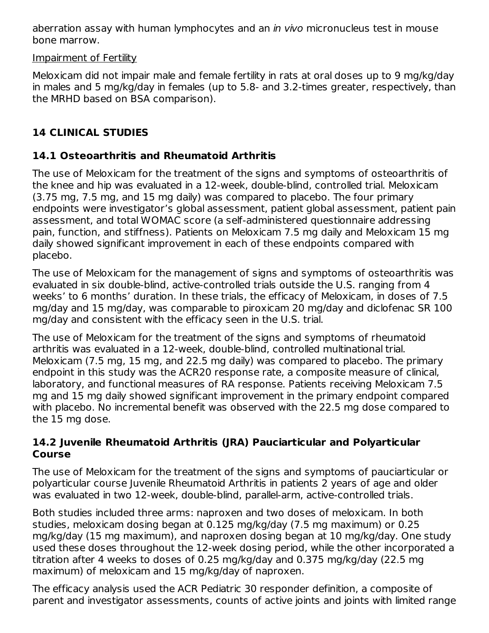aberration assay with human lymphocytes and an *in vivo* micronucleus test in mouse bone marrow.

#### Impairment of Fertility

Meloxicam did not impair male and female fertility in rats at oral doses up to 9 mg/kg/day in males and 5 mg/kg/day in females (up to 5.8- and 3.2-times greater, respectively, than the MRHD based on BSA comparison).

## **14 CLINICAL STUDIES**

## **14.1 Osteoarthritis and Rheumatoid Arthritis**

The use of Meloxicam for the treatment of the signs and symptoms of osteoarthritis of the knee and hip was evaluated in a 12-week, double-blind, controlled trial. Meloxicam (3.75 mg, 7.5 mg, and 15 mg daily) was compared to placebo. The four primary endpoints were investigator's global assessment, patient global assessment, patient pain assessment, and total WOMAC score (a self-administered questionnaire addressing pain, function, and stiffness). Patients on Meloxicam 7.5 mg daily and Meloxicam 15 mg daily showed significant improvement in each of these endpoints compared with placebo.

The use of Meloxicam for the management of signs and symptoms of osteoarthritis was evaluated in six double-blind, active-controlled trials outside the U.S. ranging from 4 weeks' to 6 months' duration. In these trials, the efficacy of Meloxicam, in doses of 7.5 mg/day and 15 mg/day, was comparable to piroxicam 20 mg/day and diclofenac SR 100 mg/day and consistent with the efficacy seen in the U.S. trial.

The use of Meloxicam for the treatment of the signs and symptoms of rheumatoid arthritis was evaluated in a 12-week, double-blind, controlled multinational trial. Meloxicam (7.5 mg, 15 mg, and 22.5 mg daily) was compared to placebo. The primary endpoint in this study was the ACR20 response rate, a composite measure of clinical, laboratory, and functional measures of RA response. Patients receiving Meloxicam 7.5 mg and 15 mg daily showed significant improvement in the primary endpoint compared with placebo. No incremental benefit was observed with the 22.5 mg dose compared to the 15 mg dose.

### **14.2 Juvenile Rheumatoid Arthritis (JRA) Pauciarticular and Polyarticular Course**

The use of Meloxicam for the treatment of the signs and symptoms of pauciarticular or polyarticular course Juvenile Rheumatoid Arthritis in patients 2 years of age and older was evaluated in two 12-week, double-blind, parallel-arm, active-controlled trials.

Both studies included three arms: naproxen and two doses of meloxicam. In both studies, meloxicam dosing began at 0.125 mg/kg/day (7.5 mg maximum) or 0.25 mg/kg/day (15 mg maximum), and naproxen dosing began at 10 mg/kg/day. One study used these doses throughout the 12-week dosing period, while the other incorporated a titration after 4 weeks to doses of 0.25 mg/kg/day and 0.375 mg/kg/day (22.5 mg maximum) of meloxicam and 15 mg/kg/day of naproxen.

The efficacy analysis used the ACR Pediatric 30 responder definition, a composite of parent and investigator assessments, counts of active joints and joints with limited range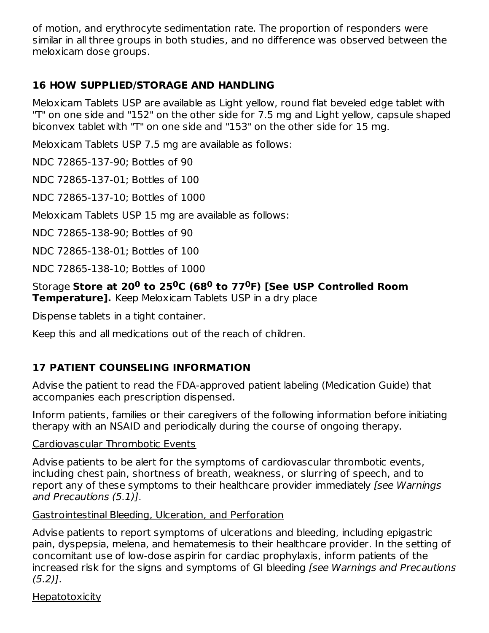of motion, and erythrocyte sedimentation rate. The proportion of responders were similar in all three groups in both studies, and no difference was observed between the meloxicam dose groups.

## **16 HOW SUPPLIED/STORAGE AND HANDLING**

Meloxicam Tablets USP are available as Light yellow, round flat beveled edge tablet with "T" on one side and "152" on the other side for 7.5 mg and Light yellow, capsule shaped biconvex tablet with "T" on one side and "153" on the other side for 15 mg.

Meloxicam Tablets USP 7.5 mg are available as follows:

NDC 72865-137-90; Bottles of 90

NDC 72865-137-01; Bottles of 100

NDC 72865-137-10; Bottles of 1000

Meloxicam Tablets USP 15 mg are available as follows:

NDC 72865-138-90; Bottles of 90

NDC 72865-138-01; Bottles of 100

NDC 72865-138-10; Bottles of 1000

Storage **Store at 20 to 25 C (68 to 77 F) [See USP Controlled Room 0 0 0 0Temperature].** Keep Meloxicam Tablets USP in a dry place

Dispense tablets in a tight container.

Keep this and all medications out of the reach of children.

## **17 PATIENT COUNSELING INFORMATION**

Advise the patient to read the FDA-approved patient labeling (Medication Guide) that accompanies each prescription dispensed.

Inform patients, families or their caregivers of the following information before initiating therapy with an NSAID and periodically during the course of ongoing therapy.

#### Cardiovascular Thrombotic Events

Advise patients to be alert for the symptoms of cardiovascular thrombotic events, including chest pain, shortness of breath, weakness, or slurring of speech, and to report any of these symptoms to their healthcare provider immediately [see Warnings] and Precautions (5.1)].

Gastrointestinal Bleeding, Ulceration, and Perforation

Advise patients to report symptoms of ulcerations and bleeding, including epigastric pain, dyspepsia, melena, and hematemesis to their healthcare provider. In the setting of concomitant use of low-dose aspirin for cardiac prophylaxis, inform patients of the increased risk for the signs and symptoms of GI bleeding [see Warnings and Precautions  $(5.2)$ ].

**Hepatotoxicity**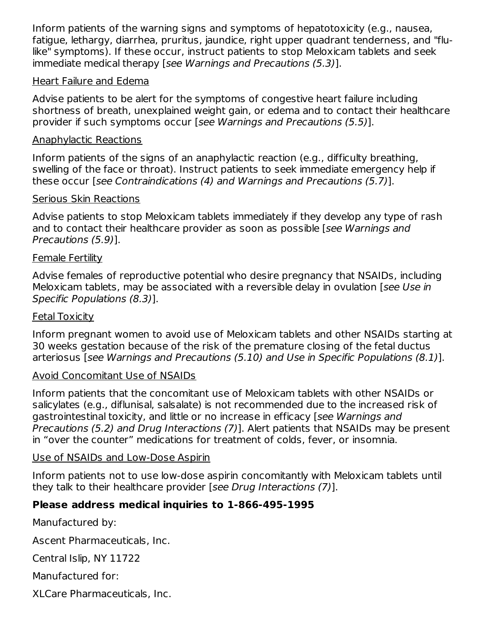Inform patients of the warning signs and symptoms of hepatotoxicity (e.g., nausea, fatigue, lethargy, diarrhea, pruritus, jaundice, right upper quadrant tenderness, and "flulike" symptoms). If these occur, instruct patients to stop Meloxicam tablets and seek immediate medical therapy [see Warnings and Precautions (5.3)].

#### Heart Failure and Edema

Advise patients to be alert for the symptoms of congestive heart failure including shortness of breath, unexplained weight gain, or edema and to contact their healthcare provider if such symptoms occur [see Warnings and Precautions (5.5)].

#### Anaphylactic Reactions

Inform patients of the signs of an anaphylactic reaction (e.g., difficulty breathing, swelling of the face or throat). Instruct patients to seek immediate emergency help if these occur [see Contraindications (4) and Warnings and Precautions (5.7)].

#### Serious Skin Reactions

Advise patients to stop Meloxicam tablets immediately if they develop any type of rash and to contact their healthcare provider as soon as possible [see Warnings and Precautions (5.9)].

#### Female Fertility

Advise females of reproductive potential who desire pregnancy that NSAIDs, including Meloxicam tablets, may be associated with a reversible delay in ovulation [see Use in Specific Populations (8.3)].

#### Fetal Toxicity

Inform pregnant women to avoid use of Meloxicam tablets and other NSAIDs starting at 30 weeks gestation because of the risk of the premature closing of the fetal ductus arteriosus [see Warnings and Precautions (5.10) and Use in Specific Populations (8.1)].

#### Avoid Concomitant Use of NSAIDs

Inform patients that the concomitant use of Meloxicam tablets with other NSAIDs or salicylates (e.g., diflunisal, salsalate) is not recommended due to the increased risk of gastrointestinal toxicity, and little or no increase in efficacy [see Warnings and Precautions (5.2) and Drug Interactions (7)]. Alert patients that NSAIDs may be present in "over the counter" medications for treatment of colds, fever, or insomnia.

#### Use of NSAIDs and Low-Dose Aspirin

Inform patients not to use low-dose aspirin concomitantly with Meloxicam tablets until they talk to their healthcare provider [see Drug Interactions (7)].

### **Please address medical inquiries to 1-866-495-1995**

Manufactured by:

Ascent Pharmaceuticals, Inc.

Central Islip, NY 11722

Manufactured for:

XLCare Pharmaceuticals, Inc.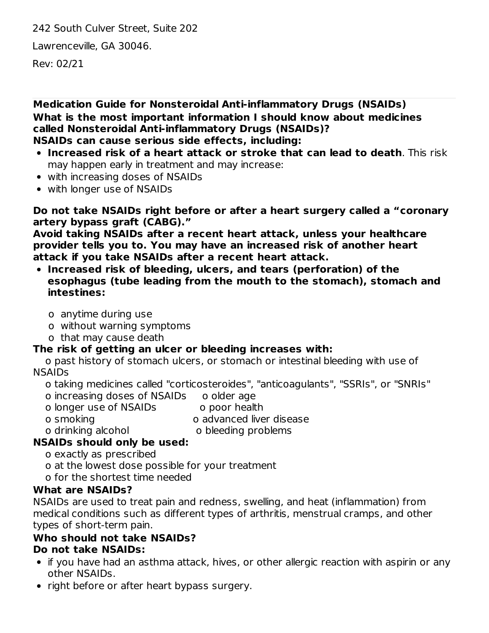242 South Culver Street, Suite 202

Lawrenceville, GA 30046.

Rev: 02/21

**Medication Guide for Nonsteroidal Anti-inflammatory Drugs (NSAIDs) What is the most important information I should know about medicines called Nonsteroidal Anti-inflammatory Drugs (NSAIDs)? NSAIDs can cause serious side effects, including:**

- **Increased risk of a heart attack or stroke that can lead to death**. This risk may happen early in treatment and may increase:
- with increasing doses of NSAIDs
- with longer use of NSAIDs

**Do not take NSAIDs right before or after a heart surgery called a "coronary artery bypass graft (CABG)."**

**Avoid taking NSAIDs after a recent heart attack, unless your healthcare provider tells you to. You may have an increased risk of another heart attack if you take NSAIDs after a recent heart attack.**

- **Increased risk of bleeding, ulcers, and tears (perforation) of the esophagus (tube leading from the mouth to the stomach), stomach and intestines:**
	- o anytime during use
	- o without warning symptoms
	- o that may cause death

### **The risk of getting an ulcer or bleeding increases with:**

o past history of stomach ulcers, or stomach or intestinal bleeding with use of NSAIDs

o taking medicines called "corticosteroides", "anticoagulants", "SSRIs", or "SNRIs"

- o increasing doses of NSAIDs o older age
- o longer use of NSAIDs o poor health
- o smoking o advanced liver disease
- o drinking alcohol o bleeding problems

### **NSAIDs should only be used:**

- o exactly as prescribed
- o at the lowest dose possible for your treatment
- o for the shortest time needed

#### **What are NSAIDs?**

NSAIDs are used to treat pain and redness, swelling, and heat (inflammation) from medical conditions such as different types of arthritis, menstrual cramps, and other types of short-term pain.

#### **Who should not take NSAIDs? Do not take NSAIDs:**

- if you have had an asthma attack, hives, or other allergic reaction with aspirin or any other NSAIDs.
- right before or after heart bypass surgery.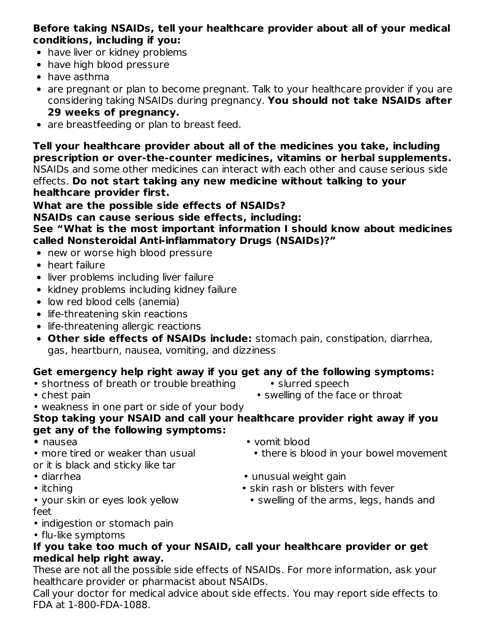### **Before taking NSAIDs, tell your healthcare provider about all of your medical conditions, including if you:**

- have liver or kidney problems
- have high blood pressure
- have asthma
- are pregnant or plan to become pregnant. Talk to your healthcare provider if you are considering taking NSAIDs during pregnancy. **You should not take NSAIDs after 29 weeks of pregnancy.**
- are breastfeeding or plan to breast feed.

**Tell your healthcare provider about all of the medicines you take, including prescription or over-the-counter medicines, vitamins or herbal supplements.** NSAIDs and some other medicines can interact with each other and cause serious side effects. **Do not start taking any new medicine without talking to your healthcare provider first.**

## **What are the possible side effects of NSAIDs?**

**NSAIDs can cause serious side effects, including:**

**See "What is the most important information I should know about medicines called Nonsteroidal Anti-inflammatory Drugs (NSAIDs)?"**

- new or worse high blood pressure
- heart failure
- liver problems including liver failure
- kidney problems including kidney failure
- low red blood cells (anemia)
- life-threatening skin reactions
- life-threatening allergic reactions
- **Other side effects of NSAIDs include:** stomach pain, constipation, diarrhea, gas, heartburn, nausea, vomiting, and dizziness

### **Get emergency help right away if you get any of the following symptoms:**

- shortness of breath or trouble breathing slurred speech
- 
- 
- weakness in one part or side of your body
- **Stop taking your NSAID and call your healthcare provider right away if you get any of the following symptoms:**
- 
- or it is black and sticky like tar
- diarrhea unusual weight gain
- 
- 
- 
- itching<br>• your skin or eyes look yellow swelling of the arms, legs, ha • swelling of the arms, legs, hands and
- feet
- indigestion or stomach pain
- flu-like symptoms
- **If you take too much of your NSAID, call your healthcare provider or get medical help right away.**

These are not all the possible side effects of NSAIDs. For more information, ask your healthcare provider or pharmacist about NSAIDs.

Call your doctor for medical advice about side effects. You may report side effects to FDA at 1-800-FDA-1088.

- **•** nausea vomit blood
- more tired or weaker than usual there is blood in your bowel movement
- chest pain swelling of the face or throat
	-
- 
- - -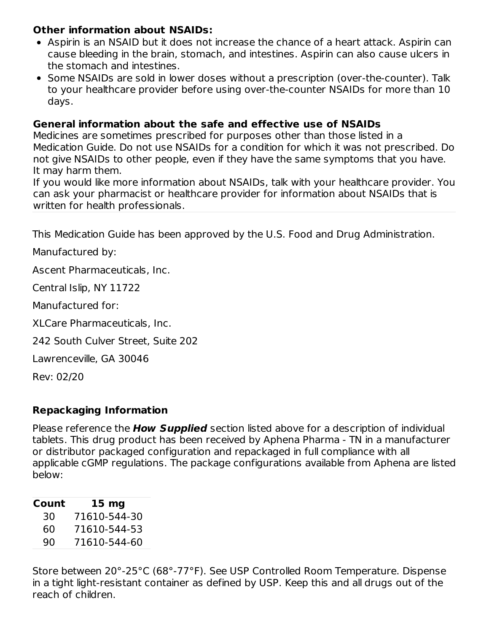### **Other information about NSAIDs:**

- Aspirin is an NSAID but it does not increase the chance of a heart attack. Aspirin can cause bleeding in the brain, stomach, and intestines. Aspirin can also cause ulcers in the stomach and intestines.
- Some NSAIDs are sold in lower doses without a prescription (over-the-counter). Talk to your healthcare provider before using over-the-counter NSAIDs for more than 10 days.

#### **General information about the safe and effective use of NSAIDs**

Medicines are sometimes prescribed for purposes other than those listed in a Medication Guide. Do not use NSAIDs for a condition for which it was not prescribed. Do not give NSAIDs to other people, even if they have the same symptoms that you have. It may harm them.

If you would like more information about NSAIDs, talk with your healthcare provider. You can ask your pharmacist or healthcare provider for information about NSAIDs that is written for health professionals.

This Medication Guide has been approved by the U.S. Food and Drug Administration.

Manufactured by:

Ascent Pharmaceuticals, Inc.

Central Islip, NY 11722

Manufactured for:

XLCare Pharmaceuticals, Inc.

242 South Culver Street, Suite 202

Lawrenceville, GA 30046

Rev: 02/20

#### **Repackaging Information**

Please reference the **How Supplied** section listed above for a description of individual tablets. This drug product has been received by Aphena Pharma - TN in a manufacturer or distributor packaged configuration and repackaged in full compliance with all applicable cGMP regulations. The package configurations available from Aphena are listed below:

| Count | 15 <sub>mg</sub> |
|-------|------------------|
| 30    | 71610-544-30     |
| 60    | 71610-544-53     |
| 90    | 71610-544-60     |

Store between 20°-25°C (68°-77°F). See USP Controlled Room Temperature. Dispense in a tight light-resistant container as defined by USP. Keep this and all drugs out of the reach of children.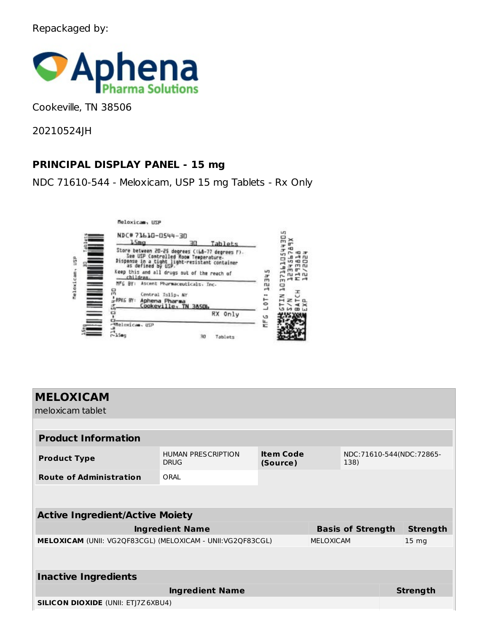Repackaged by:



Cookeville, TN 38506

20210524JH

#### **PRINCIPAL DISPLAY PANEL - 15 mg**

NDC 71610-544 - Meloxicam, USP 15 mg Tablets - Rx Only



| <b>MELOXICAM</b>                                           |                                          |                              |                  |                          |                          |
|------------------------------------------------------------|------------------------------------------|------------------------------|------------------|--------------------------|--------------------------|
| meloxicam tablet                                           |                                          |                              |                  |                          |                          |
|                                                            |                                          |                              |                  |                          |                          |
| <b>Product Information</b>                                 |                                          |                              |                  |                          |                          |
| <b>Product Type</b>                                        | <b>HUMAN PRESCRIPTION</b><br><b>DRUG</b> | <b>Item Code</b><br>(Source) |                  | 138)                     | NDC:71610-544(NDC:72865- |
| <b>Route of Administration</b>                             | ORAL                                     |                              |                  |                          |                          |
|                                                            |                                          |                              |                  |                          |                          |
| <b>Active Ingredient/Active Moiety</b>                     |                                          |                              |                  |                          |                          |
|                                                            | <b>Ingredient Name</b>                   |                              |                  | <b>Basis of Strength</b> | <b>Strength</b>          |
| MELOXICAM (UNII: VG2QF83CGL) (MELOXICAM - UNII:VG2QF83CGL) |                                          |                              | <b>MELOXICAM</b> |                          | 15 <sub>mg</sub>         |
|                                                            |                                          |                              |                  |                          |                          |
| <b>Inactive Ingredients</b>                                |                                          |                              |                  |                          |                          |
|                                                            | <b>Ingredient Name</b>                   |                              |                  |                          | <b>Strength</b>          |
| <b>SILICON DIOXIDE (UNII: ETJ7Z6XBU4)</b>                  |                                          |                              |                  |                          |                          |